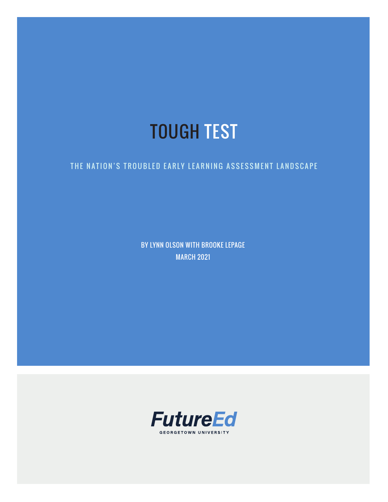# TOUGH TEST

#### THE NATION'S TROUBLED EARLY LEARNING ASSESSMENT LANDSCAPE

BY LYNN OLSON WITH BROOKE LEPAGE MARCH 2021

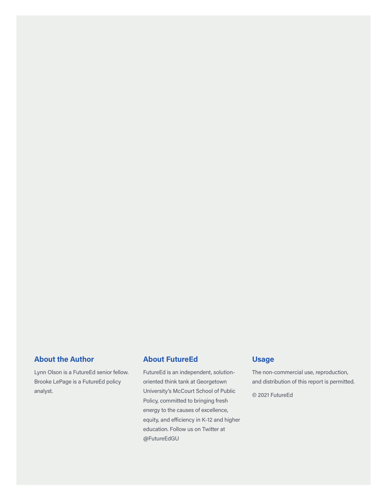#### **About the Author**

Lynn Olson is a FutureEd senior fellow. Brooke LePage is a FutureEd policy analyst.

#### **About FutureEd**

FutureEd is an independent, solutionoriented think tank at Georgetown University's McCourt School of Public Policy, committed to bringing fresh energy to the causes of excellence, equity, and efficiency in K-12 and higher education. Follow us on Twitter at @FutureEdGU

#### **Usage**

The non-commercial use, reproduction, and distribution of this report is permitted.

© 2021 FutureEd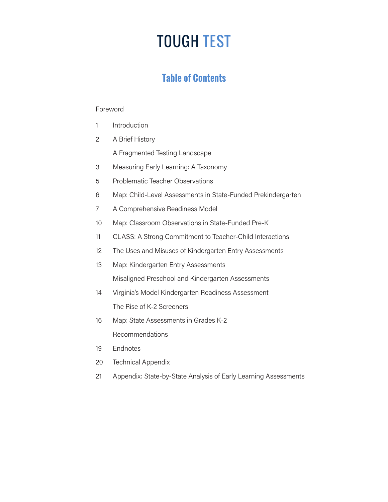# TOUGH TEST

### **Table of Contents**

#### Foreword

- 1 Introduction
- 2 A Brief History

A Fragmented Testing Landscape

- 3 Measuring Early Learning: A Taxonomy
- 5 Problematic Teacher Observations
- 6 Map: Child-Level Assessments in State-Funded Prekindergarten
- 7 A Comprehensive Readiness Model
- 10 Map: Classroom Observations in State-Funded Pre-K
- 11 CLASS: A Strong Commitment to Teacher-Child Interactions
- 12 The Uses and Misuses of Kindergarten Entry Assessments
- 13 Map: Kindergarten Entry Assessments Misaligned Preschool and Kindergarten Assessments
- 14 Virginia's Model Kindergarten Readiness Assessment The Rise of K-2 Screeners
- 16 Map: State Assessments in Grades K-2 Recommendations
- 19 Endnotes
- 20 Technical Appendix
- 21 Appendix: State-by-State Analysis of Early Learning Assessments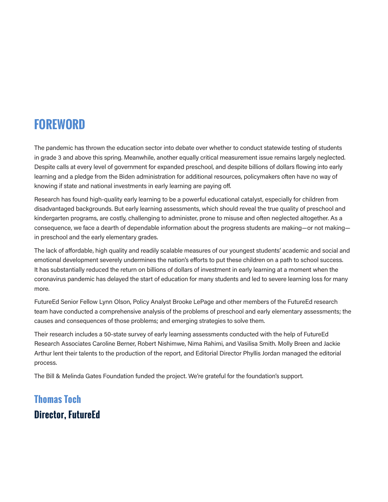## **FOREWORD**

The pandemic has thrown the education sector into debate over whether to conduct statewide testing of students in grade 3 and above this spring. Meanwhile, another equally critical measurement issue remains largely neglected. Despite calls at every level of government for expanded preschool, and despite billions of dollars flowing into early learning and a pledge from the Biden administration for additional resources, policymakers often have no way of knowing if state and national investments in early learning are paying off.

Research has found high-quality early learning to be a powerful educational catalyst, especially for children from disadvantaged backgrounds. But early learning assessments, which should reveal the true quality of preschool and kindergarten programs, are costly, challenging to administer, prone to misuse and often neglected altogether. As a consequence, we face a dearth of dependable information about the progress students are making—or not making in preschool and the early elementary grades.

The lack of affordable, high quality and readily scalable measures of our youngest students' academic and social and emotional development severely undermines the nation's efforts to put these children on a path to school success. It has substantially reduced the return on billions of dollars of investment in early learning at a moment when the coronavirus pandemic has delayed the start of education for many students and led to severe learning loss for many more.

FutureEd Senior Fellow Lynn Olson, Policy Analyst Brooke LePage and other members of the FutureEd research team have conducted a comprehensive analysis of the problems of preschool and early elementary assessments; the causes and consequences of those problems; and emerging strategies to solve them.

Their research includes a 50-state survey of early learning assessments conducted with the help of FutureEd Research Associates Caroline Berner, Robert Nishimwe, Nima Rahimi, and Vasilisa Smith. Molly Breen and Jackie Arthur lent their talents to the production of the report, and Editorial Director Phyllis Jordan managed the editorial process.

The Bill & Melinda Gates Foundation funded the project. We're grateful for the foundation's support.

## **Thomas Toch Director, FutureEd**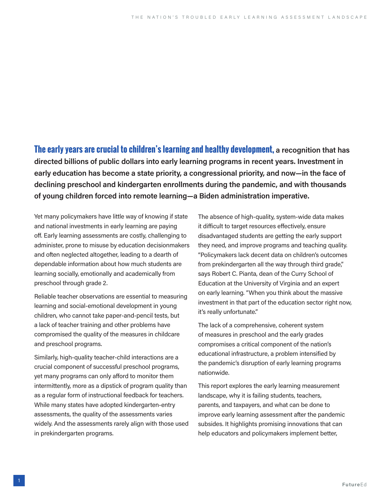**The early years are crucial to children's learning and healthy development, a recognition that has directed billions of public dollars into early learning programs in recent years. Investment in early education has become a state priority, a congressional priority, and now—in the face of declining preschool and kindergarten enrollments during the pandemic, and with thousands of young children forced into remote learning—a Biden administration imperative.** 

Yet many policymakers have little way of knowing if state and national investments in early learning are paying off. Early learning assessments are costly, challenging to administer, prone to misuse by education decisionmakers and often neglected altogether, leading to a dearth of dependable information about how much students are learning socially, emotionally and academically from preschool through grade 2.

Reliable teacher observations are essential to measuring learning and social-emotional development in young children, who cannot take paper-and-pencil tests, but a lack of teacher training and other problems have compromised the quality of the measures in childcare and preschool programs.

Similarly, high-quality teacher-child interactions are a crucial component of successful preschool programs, yet many programs can only afford to monitor them intermittently, more as a dipstick of program quality than as a regular form of instructional feedback for teachers. While many states have adopted kindergarten-entry assessments, the quality of the assessments varies widely. And the assessments rarely align with those used in prekindergarten programs.

The absence of high-quality, system-wide data makes it difficult to target resources effectively, ensure disadvantaged students are getting the early support they need, and improve programs and teaching quality. "Policymakers lack decent data on children's outcomes from prekindergarten all the way through third grade," says Robert C. Pianta, dean of the Curry School of Education at the University of Virginia and an expert on early learning. "When you think about the massive investment in that part of the education sector right now, it's really unfortunate."

The lack of a comprehensive, coherent system of measures in preschool and the early grades compromises a critical component of the nation's educational infrastructure, a problem intensified by the pandemic's disruption of early learning programs nationwide.

This report explores the early learning measurement landscape, why it is failing students, teachers, parents, and taxpayers, and what can be done to improve early learning assessment after the pandemic subsides. It highlights promising innovations that can help educators and policymakers implement better,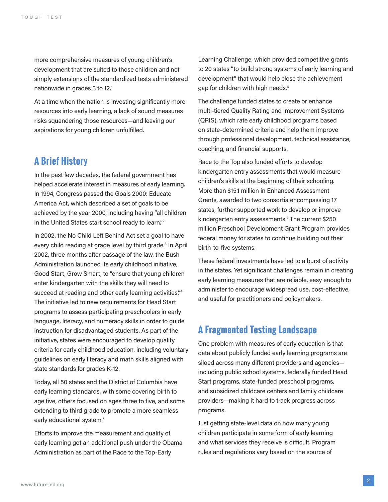more comprehensive measures of young children's development that are suited to those children and not simply extensions of the standardized tests administered nationwide in grades 3 to 12.<sup>1</sup>

At a time when the nation is investing significantly more resources into early learning, a lack of sound measures risks squandering those resources—and leaving our aspirations for young children unfulfilled.

#### **A Brief History**

In the past few decades, the federal government has helped accelerate interest in measures of early learning. In 1994, Congress passed the Goals 2000: Educate America Act, which described a set of goals to be achieved by the year 2000, including having "all children in the United States start school ready to learn."2

In 2002, the No Child Left Behind Act set a goal to have every child reading at grade level by third grade.<sup>3</sup> In April 2002, three months after passage of the law, the Bush Administration launched its early childhood initiative, Good Start, Grow Smart, to "ensure that young children enter kindergarten with the skills they will need to succeed at reading and other early learning activities."4 The initiative led to new requirements for Head Start programs to assess participating preschoolers in early language, literacy, and numeracy skills in order to guide instruction for disadvantaged students. As part of the initiative, states were encouraged to develop quality criteria for early childhood education, including voluntary guidelines on early literacy and math skills aligned with state standards for grades K-12.

Today, all 50 states and the District of Columbia have early learning standards, with some covering birth to age five, others focused on ages three to five, and some extending to third grade to promote a more seamless early educational system.<sup>5</sup>

Efforts to improve the measurement and quality of early learning got an additional push under the Obama Administration as part of the Race to the Top-Early

Learning Challenge, which provided competitive grants to 20 states "to build strong systems of early learning and development" that would help close the achievement gap for children with high needs.<sup>6</sup>

The challenge funded states to create or enhance multi-tiered Quality Rating and Improvement Systems (QRIS), which rate early childhood programs based on state-determined criteria and help them improve through professional development, technical assistance, coaching, and financial supports.

Race to the Top also funded efforts to develop kindergarten entry assessments that would measure children's skills at the beginning of their schooling. More than \$15.1 million in Enhanced Assessment Grants, awarded to two consortia encompassing 17 states, further supported work to develop or improve kindergarten entry assessments.<sup>7</sup> The current \$250 million Preschool Development Grant Program provides federal money for states to continue building out their birth-to-five systems.

These federal investments have led to a burst of activity in the states. Yet significant challenges remain in creating early learning measures that are reliable, easy enough to administer to encourage widespread use, cost-effective, and useful for practitioners and policymakers.

#### **A Fragmented Testing Landscape**

One problem with measures of early education is that data about publicly funded early learning programs are siloed across many different providers and agencies including public school systems, federally funded Head Start programs, state-funded preschool programs, and subsidized childcare centers and family childcare providers—making it hard to track progress across programs.

Just getting state-level data on how many young children participate in some form of early learning and what services they receive is difficult. Program rules and regulations vary based on the source of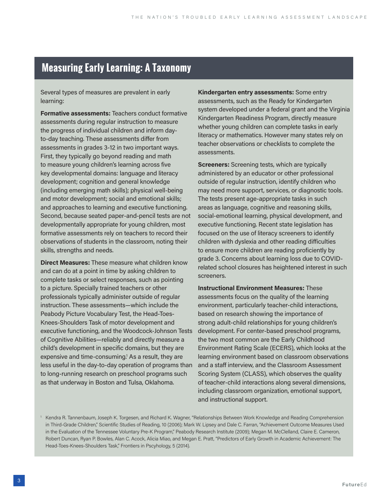### **Measuring Early Learning: A Taxonomy**

Several types of measures are prevalent in early learning:

**Formative assessments:** Teachers conduct formative assessments during regular instruction to measure the progress of individual children and inform dayto-day teaching. These assessments differ from assessments in grades 3-12 in two important ways. First, they typically go beyond reading and math to measure young children's learning across five key developmental domains: language and literacy development; cognition and general knowledge (including emerging math skills); physical well-being and motor development; social and emotional skills; and approaches to learning and executive functioning. Second, because seated paper-and-pencil tests are not developmentally appropriate for young children, most formative assessments rely on teachers to record their observations of students in the classroom, noting their skills, strengths and needs.

**Direct Measures:** These measure what children know and can do at a point in time by asking children to complete tasks or select responses, such as pointing to a picture. Specially trained teachers or other professionals typically administer outside of regular instruction. These assessments—which include the Peabody Picture Vocabulary Test, the Head-Toes-Knees-Shoulders Task of motor development and executive functioning, and the Woodcock-Johnson Tests of Cognitive Abilities—reliably and directly measure a child's development in specific domains, but they are expensive and time-consuming.<sup>1</sup> As a result, they are less useful in the day-to-day operation of programs than to long-running research on preschool programs such as that underway in Boston and Tulsa, Oklahoma.

**Kindergarten entry assessments:** Some entry assessments, such as the Ready for Kindergarten system developed under a federal grant and the Virginia Kindergarten Readiness Program, directly measure whether young children can complete tasks in early literacy or mathematics. However many states rely on teacher observations or checklists to complete the assessments.

**Screeners:** Screening tests, which are typically administered by an educator or other professional outside of regular instruction, identify children who may need more support, services, or diagnostic tools. The tests present age-appropriate tasks in such areas as language, cognitive and reasoning skills, social-emotional learning, physical development, and executive functioning. Recent state legislation has focused on the use of literacy screeners to identify children with dyslexia and other reading difficulties to ensure more children are reading proficiently by grade 3. Concerns about learning loss due to COVIDrelated school closures has heightened interest in such screeners.

**Instructional Environment Measures:** These assessments focus on the quality of the learning environment, particularly teacher-child interactions, based on research showing the importance of strong adult-child relationships for young children's development. For center-based preschool programs, the two most common are the Early Childhood Environment Rating Scale (ECERS), which looks at the learning environment based on classroom observations and a staff interview, and the Classroom Assessment Scoring System (CLASS), which observes the quality of teacher-child interactions along several dimensions, including classroom organization, emotional support, and instructional support.

1 Kendra R. Tannenbaum, Joseph K. Torgesen, and Richard K. Wagner, "Relationships Between Work Knowledge and Reading Comprehension in Third-Grade Children," Scientific Studies of Reading, 10 (2006); Mark W. Lipsey and Dale C. Farran, "Achievement Outcome Measures Used in the Evaluation of the Tennessee Voluntary Pre-K Program," Peabody Research Institute (2009); Megan M. McClelland, Claire E. Cameron, Robert Duncan, Ryan P. Bowles, Alan C. Acock, Alicia Miao, and Megan E. Pratt, "Predictors of Early Growth in Academic Achievement: The Head-Toes-Knees-Shoulders Task," Frontiers in Pscyhology, 5 (2014).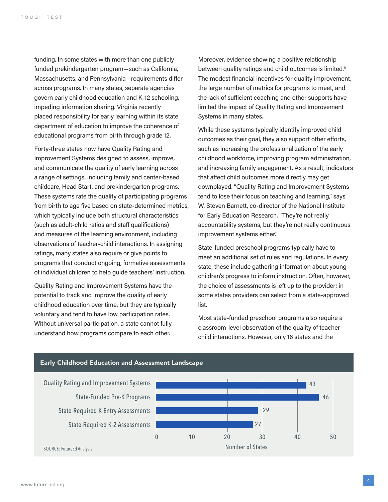funding. In some states with more than one publicly funded prekindergarten program—such as California, Massachusetts, and Pennsylvania—requirements differ across programs. In many states, separate agencies govern early childhood education and K-12 schooling, impeding information sharing. Virginia recently placed responsibility for early learning within its state department of education to improve the coherence of educational programs from birth through grade 12.

Forty-three states now have Quality Rating and Improvement Systems designed to assess, improve, and communicate the quality of early learning across a range of settings, including family and center-based childcare, Head Start, and prekindergarten programs. These systems rate the quality of participating programs from birth to age five based on state-determined metrics, which typically include both structural characteristics (such as adult-child ratios and staff qualifications) and measures of the learning environment, including observations of teacher-child interactions. In assigning ratings, many states also require or give points to programs that conduct ongoing, formative assessments of individual children to help guide teachers' instruction.

Quality Rating and Improvement Systems have the potential to track and improve the quality of early childhood education over time, but they are typically voluntary and tend to have low participation rates. Without universal participation, a state cannot fully understand how programs compare to each other.

Moreover, evidence showing a positive relationship between quality ratings and child outcomes is limited.<sup>8</sup> The modest financial incentives for quality improvement, the large number of metrics for programs to meet, and the lack of sufficient coaching and other supports have limited the impact of Quality Rating and Improvement Systems in many states.

While these systems typically identify improved child outcomes as their goal, they also support other efforts, such as increasing the professionalization of the early childhood workforce, improving program administration, and increasing family engagement. As a result, indicators that affect child outcomes more directly may get downplayed. "Quality Rating and Improvement Systems tend to lose their focus on teaching and learning," says W. Steven Barnett, co-director of the National Institute for Early Education Research. "They're not really accountability systems, but they're not really continuous improvement systems either."

State-funded preschool programs typically have to meet an additional set of rules and regulations. In every state, these include gathering information about young children's progress to inform instruction. Often, however, the choice of assessments is left up to the provider; in some states providers can select from a state-approved list.

Most state-funded preschool programs also require a classroom-level observation of the quality of teacherchild interactions. However, only 16 states and the



#### Early Childhood Education and Assessment Landscape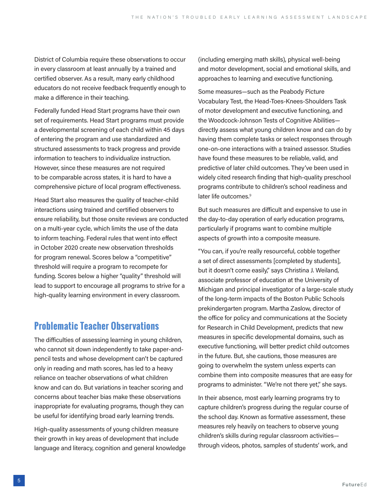District of Columbia require these observations to occur in every classroom at least annually by a trained and certified observer. As a result, many early childhood educators do not receive feedback frequently enough to make a difference in their teaching.

Federally funded Head Start programs have their own set of requirements. Head Start programs must provide a developmental screening of each child within 45 days of entering the program and use standardized and structured assessments to track progress and provide information to teachers to individualize instruction. However, since these measures are not required to be comparable across states, it is hard to have a comprehensive picture of local program effectiveness.

Head Start also measures the quality of teacher-child interactions using trained and certified observers to ensure reliability, but those onsite reviews are conducted on a multi-year cycle, which limits the use of the data to inform teaching. Federal rules that went into effect in October 2020 create new observation thresholds for program renewal. Scores below a "competitive" threshold will require a program to recompete for funding. Scores below a higher "quality" threshold will lead to support to encourage all programs to strive for a high-quality learning environment in every classroom.

#### **Problematic Teacher Observations**

The difficulties of assessing learning in young children, who cannot sit down independently to take paper-andpencil tests and whose development can't be captured only in reading and math scores, has led to a heavy reliance on teacher observations of what children know and can do. But variations in teacher scoring and concerns about teacher bias make these observations inappropriate for evaluating programs, though they can be useful for identifying broad early learning trends.

High-quality assessments of young children measure their growth in key areas of development that include language and literacy, cognition and general knowledge (including emerging math skills), physical well-being and motor development, social and emotional skills, and approaches to learning and executive functioning.

Some measures—such as the Peabody Picture Vocabulary Test, the Head-Toes-Knees-Shoulders Task of motor development and executive functioning, and the Woodcock-Johnson Tests of Cognitive Abilities directly assess what young children know and can do by having them complete tasks or select responses through one-on-one interactions with a trained assessor. Studies have found these measures to be reliable, valid, and predictive of later child outcomes. They've been used in widely cited research finding that high-quality preschool programs contribute to children's school readiness and later life outcomes.<sup>9</sup>

But such measures are difficult and expensive to use in the day-to-day operation of early education programs, particularly if programs want to combine multiple aspects of growth into a composite measure.

"You can, if you're really resourceful, cobble together a set of direct assessments [completed by students], but it doesn't come easily," says Christina J. Weiland, associate professor of education at the University of Michigan and principal investigator of a large-scale study of the long-term impacts of the Boston Public Schools prekindergarten program. Martha Zaslow, director of the office for policy and communications at the Society for Research in Child Development, predicts that new measures in specific developmental domains, such as executive functioning, will better predict child outcomes in the future. But, she cautions, those measures are going to overwhelm the system unless experts can combine them into composite measures that are easy for programs to administer. "We're not there yet," she says.

In their absence, most early learning programs try to capture children's progress during the regular course of the school day. Known as formative assessment, these measures rely heavily on teachers to observe young children's skills during regular classroom activities through videos, photos, samples of students' work, and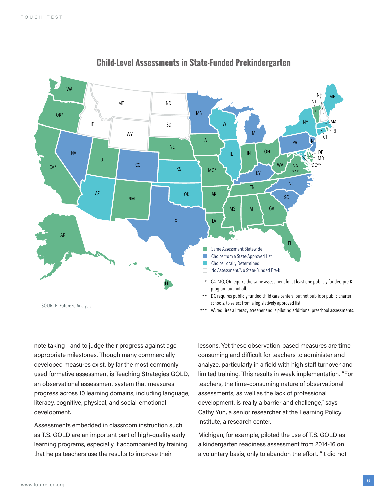

**Child-Level Assessments in State-Funded Prekindergarten** 

note taking—and to judge their progress against ageappropriate milestones. Though many commercially developed measures exist, by far the most commonly used formative assessment is Teaching Strategies GOLD, an observational assessment system that measures progress across 10 learning domains, including language, literacy, cognitive, physical, and social-emotional development.

Assessments embedded in classroom instruction such as T.S. GOLD are an important part of high-quality early learning programs, especially if accompanied by training that helps teachers use the results to improve their

lessons. Yet these observation-based measures are timeconsuming and difficult for teachers to administer and analyze, particularly in a field with high staff turnover and limited training. This results in weak implementation. "For teachers, the time-consuming nature of observational assessments, as well as the lack of professional development, is really a barrier and challenge," says Cathy Yun, a senior researcher at the Learning Policy Institute, a research center.

Michigan, for example, piloted the use of T.S. GOLD as a kindergarten readiness assessment from 2014-16 on a voluntary basis, only to abandon the effort. "It did not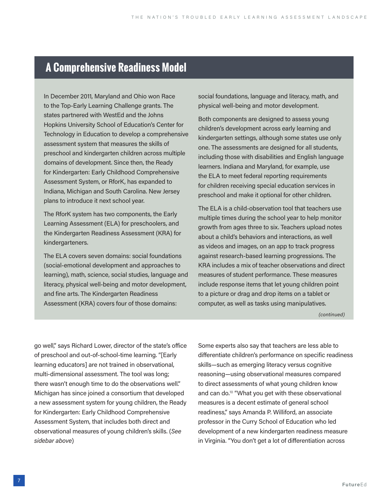## **A Comprehensive Readiness Model**

In December 2011, Maryland and Ohio won Race to the Top-Early Learning Challenge grants. The states partnered with WestEd and the Johns Hopkins University School of Education's Center for Technology in Education to develop a comprehensive assessment system that measures the skills of preschool and kindergarten children across multiple domains of development. Since then, the Ready for Kindergarten: Early Childhood Comprehensive Assessment System, or RforK, has expanded to Indiana, Michigan and South Carolina. New Jersey plans to introduce it next school year.

The RforK system has two components, the Early Learning Assessment (ELA) for preschoolers, and the Kindergarten Readiness Assessment (KRA) for kindergarteners.

The ELA covers seven domains: social foundations (social-emotional development and approaches to learning), math, science, social studies, language and literacy, physical well-being and motor development, and fine arts. The Kindergarten Readiness Assessment (KRA) covers four of those domains:

social foundations, language and literacy, math, and physical well-being and motor development.

Both components are designed to assess young children's development across early learning and kindergarten settings, although some states use only one. The assessments are designed for all students, including those with disabilities and English language learners. Indiana and Maryland, for example, use the ELA to meet federal reporting requirements for children receiving special education services in preschool and make it optional for other children.

The ELA is a child-observation tool that teachers use multiple times during the school year to help monitor growth from ages three to six. Teachers upload notes about a child's behaviors and interactions, as well as videos and images, on an app to track progress against research-based learning progressions. The KRA includes a mix of teacher observations and direct measures of student performance. These measures include response items that let young children point to a picture or drag and drop items on a tablet or computer, as well as tasks using manipulatives.

*(continued)*

go well," says Richard Lower, director of the state's office of preschool and out-of-school-time learning. "[Early learning educators] are not trained in observational, multi-dimensional assessment. The tool was long; there wasn't enough time to do the observations well." Michigan has since joined a consortium that developed a new assessment system for young children, the Ready for Kindergarten: Early Childhood Comprehensive Assessment System, that includes both direct and observational measures of young children's skills. (*See sidebar above*)

Some experts also say that teachers are less able to differentiate children's performance on specific readiness skills—such as emerging literacy versus cognitive reasoning—using observational measures compared to direct assessments of what young children know and can do.10 "What you get with these observational measures is a decent estimate of general school readiness," says Amanda P. Williford, an associate professor in the Curry School of Education who led development of a new kindergarten readiness measure in Virginia. "You don't get a lot of differentiation across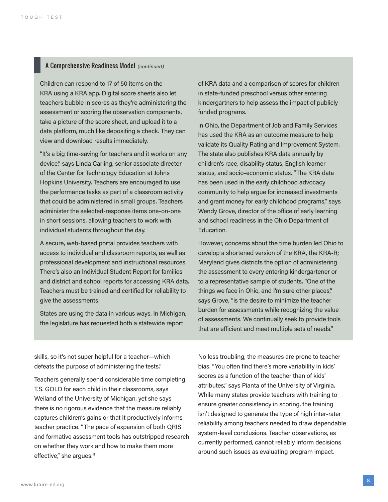#### A Comprehensive Readiness Model *(continued)*

Children can respond to 17 of 50 items on the KRA using a KRA app. Digital score sheets also let teachers bubble in scores as they're administering the assessment or scoring the observation components, take a picture of the score sheet, and upload it to a data platform, much like depositing a check. They can view and download results immediately.

"It's a big time-saving for teachers and it works on any device," says Linda Carling, senior associate director of the Center for Technology Education at Johns Hopkins University. Teachers are encouraged to use the performance tasks as part of a classroom activity that could be administered in small groups. Teachers administer the selected-response items one-on-one in short sessions, allowing teachers to work with individual students throughout the day.

A secure, web-based portal provides teachers with access to individual and classroom reports, as well as professional development and instructional resources. There's also an Individual Student Report for families and district and school reports for accessing KRA data. Teachers must be trained and certified for reliability to give the assessments.

States are using the data in various ways. In Michigan, the legislature has requested both a statewide report

of KRA data and a comparison of scores for children in state-funded preschool versus other entering kindergartners to help assess the impact of publicly funded programs.

In Ohio, the Department of Job and Family Services has used the KRA as an outcome measure to help validate its Quality Rating and Improvement System. The state also publishes KRA data annually by children's race, disability status, English learner status, and socio-economic status. "The KRA data has been used in the early childhood advocacy community to help argue for increased investments and grant money for early childhood programs," says Wendy Grove, director of the office of early learning and school readiness in the Ohio Department of Education.

However, concerns about the time burden led Ohio to develop a shortened version of the KRA, the KRA-R; Maryland gives districts the option of administering the assessment to every entering kindergartener or to a representative sample of students. "One of the things we face in Ohio, and I'm sure other places," says Grove, "is the desire to minimize the teacher burden for assessments while recognizing the value of assessments. We continually seek to provide tools that are efficient and meet multiple sets of needs."

skills, so it's not super helpful for a teacher—which defeats the purpose of administering the tests."

Teachers generally spend considerable time completing T.S. GOLD for each child in their classrooms, says Weiland of the University of Michigan, yet she says there is no rigorous evidence that the measure reliably captures children's gains or that it productively informs teacher practice. "The pace of expansion of both QRIS and formative assessment tools has outstripped research on whether they work and how to make them more effective," she argues.<sup>11</sup>

No less troubling, the measures are prone to teacher bias. "You often find there's more variability in kids' scores as a function of the teacher than of kids' attributes," says Pianta of the University of Virginia. While many states provide teachers with training to ensure greater consistency in scoring, the training isn't designed to generate the type of high inter-rater reliability among teachers needed to draw dependable system-level conclusions. Teacher observations, as currently performed, cannot reliably inform decisions around such issues as evaluating program impact.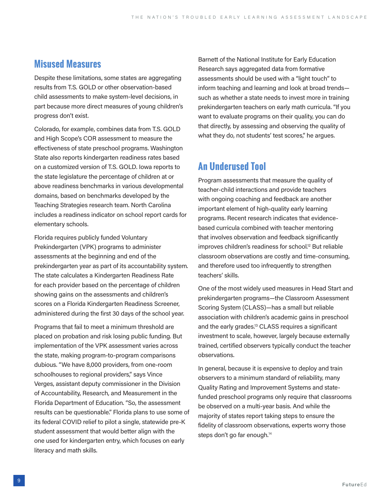#### **Misused Measures**

Despite these limitations, some states are aggregating results from T.S. GOLD or other observation-based child assessments to make system-level decisions, in part because more direct measures of young children's progress don't exist.

Colorado, for example, combines data from T.S. GOLD and High Scope's COR assessment to measure the effectiveness of state preschool programs. Washington State also reports kindergarten readiness rates based on a customized version of T.S. GOLD. Iowa reports to the state legislature the percentage of children at or above readiness benchmarks in various developmental domains, based on benchmarks developed by the Teaching Strategies research team. North Carolina includes a readiness indicator on school report cards for elementary schools.

Florida requires publicly funded Voluntary Prekindergarten (VPK) programs to administer assessments at the beginning and end of the prekindergarten year as part of its accountability system. The state calculates a Kindergarten Readiness Rate for each provider based on the percentage of children showing gains on the assessments and children's scores on a Florida Kindergarten Readiness Screener, administered during the first 30 days of the school year.

Programs that fail to meet a minimum threshold are placed on probation and risk losing public funding. But implementation of the VPK assessment varies across the state, making program-to-program comparisons dubious. "We have 8,000 providers, from one-room schoolhouses to regional providers," says Vince Verges, assistant deputy commissioner in the Division of Accountability, Research, and Measurement in the Florida Department of Education. "So, the assessment results can be questionable." Florida plans to use some of its federal COVID relief to pilot a single, statewide pre-K student assessment that would better align with the one used for kindergarten entry, which focuses on early literacy and math skills.

Barnett of the National Institute for Early Education Research says aggregated data from formative assessments should be used with a "light touch" to inform teaching and learning and look at broad trends such as whether a state needs to invest more in training prekindergarten teachers on early math curricula. "If you want to evaluate programs on their quality, you can do that directly, by assessing and observing the quality of what they do, not students' test scores," he argues.

#### **An Underused Tool**

Program assessments that measure the quality of teacher-child interactions and provide teachers with ongoing coaching and feedback are another important element of high-quality early learning programs. Recent research indicates that evidencebased curricula combined with teacher mentoring that involves observation and feedback significantly improves children's readiness for school.<sup>12</sup> But reliable classroom observations are costly and time-consuming, and therefore used too infrequently to strengthen teachers' skills.

One of the most widely used measures in Head Start and prekindergarten programs—the Classroom Assessment Scoring System (CLASS)—has a small but reliable association with children's academic gains in preschool and the early grades.<sup>13</sup> CLASS requires a significant investment to scale, however, largely because externally trained, certified observers typically conduct the teacher observations.

In general, because it is expensive to deploy and train observers to a minimum standard of reliability, many Quality Rating and Improvement Systems and statefunded preschool programs only require that classrooms be observed on a multi-year basis. And while the majority of states report taking steps to ensure the fidelity of classroom observations, experts worry those steps don't go far enough.<sup>14</sup>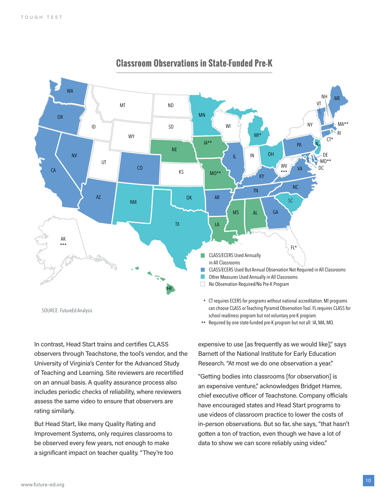

#### **Classroom Observations in State-Funded Pre-K Classroom Observations in State-Funded Pre-K**

In contrast, Head Start trains and certifies CLASS observers through Teachstone, the tool's vendor, and the University of Virginia's Center for the Advanced Study of Teaching and Learning. Site reviewers are recertified on an annual basis. A quality assurance process also includes periodic checks of reliability, where reviewers assess the same video to ensure that observers are rating similarly.

But Head Start, like many Quality Rating and Improvement Systems, only requires classrooms to be observed every few years, not enough to make a significant impact on teacher quality. "They're too \*\* Required by one state-funded pre-K program but not all: IA, MA, MO.

expensive to use [as frequently as we would like]," says Barnett of the National Institute for Early Education Research. "At most we do one observation a year."

"Getting bodies into classrooms [for observation] is an expensive venture," acknowledges Bridget Hamre, chief executive officer of Teachstone. Company officials have encouraged states and Head Start programs to use videos of classroom practice to lower the costs of in-person observations. But so far, she says, "that hasn't gotten a ton of traction, even though we have a lot of data to show we can score reliably using video."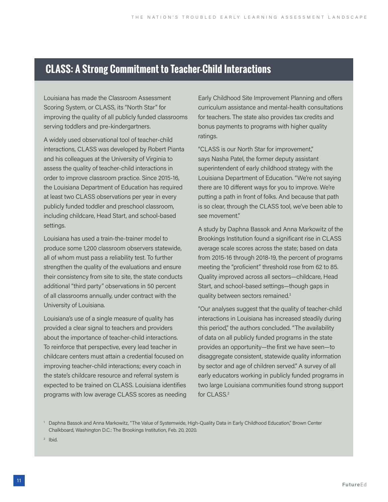### **CLASS: A Strong Commitment to Teacher-Child Interactions**

Louisiana has made the Classroom Assessment Scoring System, or CLASS, its "North Star" for improving the quality of all publicly funded classrooms serving toddlers and pre-kindergartners.

A widely used observational tool of teacher-child interactions, CLASS was developed by Robert Pianta and his colleagues at the University of Virginia to assess the quality of teacher-child interactions in order to improve classroom practice. Since 2015-16, the Louisiana Department of Education has required at least two CLASS observations per year in every publicly funded toddler and preschool classroom, including childcare, Head Start, and school-based settings.

Louisiana has used a train-the-trainer model to produce some 1,200 classroom observers statewide, all of whom must pass a reliability test. To further strengthen the quality of the evaluations and ensure their consistency from site to site, the state conducts additional "third party" observations in 50 percent of all classrooms annually, under contract with the University of Louisiana.

Louisiana's use of a single measure of quality has provided a clear signal to teachers and providers about the importance of teacher-child interactions. To reinforce that perspective, every lead teacher in childcare centers must attain a credential focused on improving teacher-child interactions; every coach in the state's childcare resource and referral system is expected to be trained on CLASS. Louisiana identifies programs with low average CLASS scores as needing Early Childhood Site Improvement Planning and offers curriculum assistance and mental-health consultations for teachers. The state also provides tax credits and bonus payments to programs with higher quality ratings.

"CLASS is our North Star for improvement," says Nasha Patel, the former deputy assistant superintendent of early childhood strategy with the Louisiana Department of Education. "We're not saying there are 10 different ways for you to improve. We're putting a path in front of folks. And because that path is so clear, through the CLASS tool, we've been able to see movement."

A study by Daphna Bassok and Anna Markowitz of the Brookings Institution found a significant rise in CLASS average scale scores across the state; based on data from 2015-16 through 2018-19, the percent of programs meeting the "proficient" threshold rose from 62 to 85. Quality improved across all sectors—childcare, Head Start, and school-based settings—though gaps in quality between sectors remained.<sup>1</sup>

"Our analyses suggest that the quality of teacher-child interactions in Louisiana has increased steadily during this period," the authors concluded. "The availability of data on all publicly funded programs in the state provides an opportunity—the first we have seen—to disaggregate consistent, statewide quality information by sector and age of children served." A survey of all early educators working in publicly funded programs in two large Louisiana communities found strong support for CLASS.2

<sup>2</sup> Ibid.

<sup>1</sup> Daphna Bassok and Anna Markowitz, "The Value of Systemwide, High-Quality Data in Early Childhood Education," Brown Center Chalkboard, Washington D.C.: The Brookings Institution, Feb. 20, 2020.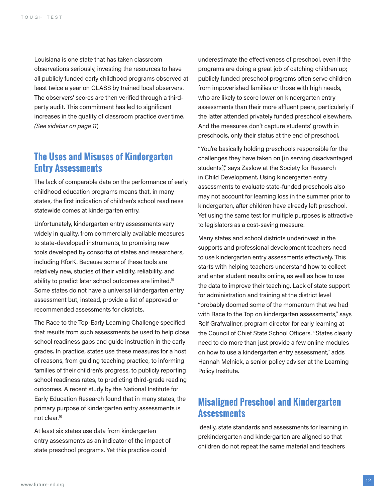Louisiana is one state that has taken classroom observations seriously, investing the resources to have all publicly funded early childhood programs observed at least twice a year on CLASS by trained local observers. The observers' scores are then verified through a thirdparty audit. This commitment has led to significant increases in the quality of classroom practice over time. *(See sidebar on page 11*)

#### **The Uses and Misuses of Kindergarten Entry Assessments**

The lack of comparable data on the performance of early childhood education programs means that, in many states, the first indication of children's school readiness statewide comes at kindergarten entry.

Unfortunately, kindergarten entry assessments vary widely in quality, from commercially available measures to state-developed instruments, to promising new tools developed by consortia of states and researchers, including RforK. Because some of these tools are relatively new, studies of their validity, reliability, and ability to predict later school outcomes are limited.<sup>15</sup> Some states do not have a universal kindergarten entry assessment but, instead, provide a list of approved or recommended assessments for districts.

The Race to the Top-Early Learning Challenge specified that results from such assessments be used to help close school readiness gaps and guide instruction in the early grades. In practice, states use these measures for a host of reasons, from guiding teaching practice, to informing families of their children's progress, to publicly reporting school readiness rates, to predicting third-grade reading outcomes. A recent study by the National Institute for Early Education Research found that in many states, the primary purpose of kindergarten entry assessments is not clear.<sup>16</sup>

At least six states use data from kindergarten entry assessments as an indicator of the impact of state preschool programs. Yet this practice could

underestimate the effectiveness of preschool, even if the programs are doing a great job of catching children up; publicly funded preschool programs often serve children from impoverished families or those with high needs, who are likely to score lower on kindergarten entry assessments than their more affluent peers, particularly if the latter attended privately funded preschool elsewhere. And the measures don't capture students' growth in preschools, only their status at the end of preschool.

"You're basically holding preschools responsible for the challenges they have taken on [in serving disadvantaged students]," says Zaslow at the Society for Research in Child Development. Using kindergarten entry assessments to evaluate state-funded preschools also may not account for learning loss in the summer prior to kindergarten, after children have already left preschool. Yet using the same test for multiple purposes is attractive to legislators as a cost-saving measure.

Many states and school districts underinvest in the supports and professional development teachers need to use kindergarten entry assessments effectively. This starts with helping teachers understand how to collect and enter student results online, as well as how to use the data to improve their teaching. Lack of state support for administration and training at the district level "probably doomed some of the momentum that we had with Race to the Top on kindergarten assessments," says Rolf Grafwallner, program director for early learning at the Council of Chief State School Officers. "States clearly need to do more than just provide a few online modules on how to use a kindergarten entry assessment," adds Hannah Melnick, a senior policy adviser at the Learning Policy Institute.

#### **Misaligned Preschool and Kindergarten Assessments**

Ideally, state standards and assessments for learning in prekindergarten and kindergarten are aligned so that children do not repeat the same material and teachers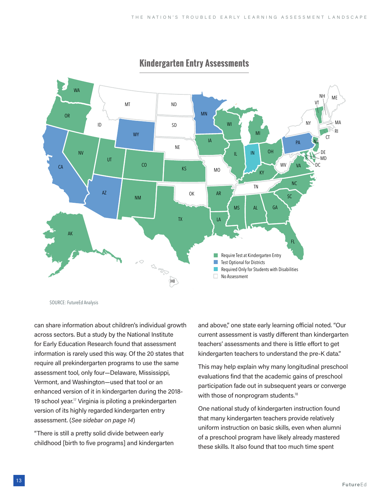

#### **Kindergarten Entry Assessments**

SOURCE: FutureEd Analysis

can share information about children's individual growth across sectors. But a study by the National Institute for Early Education Research found that assessment information is rarely used this way. Of the 20 states that require all prekindergarten programs to use the same assessment tool, only four—Delaware, Mississippi, Vermont, and Washington—used that tool or an enhanced version of it in kindergarten during the 2018- 19 school year.17 Virginia is piloting a prekindergarten version of its highly regarded kindergarten entry assessment. (*See sidebar on page 14*)

"There is still a pretty solid divide between early childhood [birth to five programs] and kindergarten and above," one state early learning official noted. "Our current assessment is vastly different than kindergarten teachers' assessments and there is little effort to get kindergarten teachers to understand the pre-K data."

This may help explain why many longitudinal preschool evaluations find that the academic gains of preschool participation fade out in subsequent years or converge with those of nonprogram students.<sup>18</sup>

One national study of kindergarten instruction found that many kindergarten teachers provide relatively uniform instruction on basic skills, even when alumni of a preschool program have likely already mastered these skills. It also found that too much time spent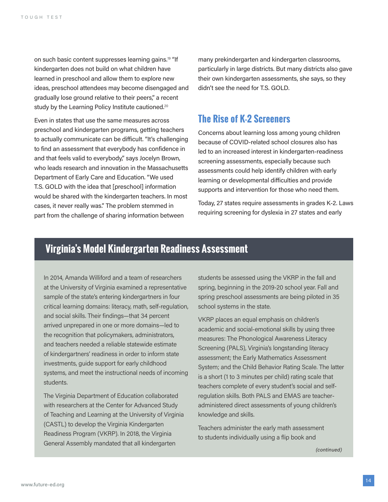on such basic content suppresses learning gains.<sup>19</sup> "If kindergarten does not build on what children have learned in preschool and allow them to explore new ideas, preschool attendees may become disengaged and gradually lose ground relative to their peers," a recent study by the Learning Policy Institute cautioned.<sup>20</sup>

Even in states that use the same measures across preschool and kindergarten programs, getting teachers to actually communicate can be difficult. "It's challenging to find an assessment that everybody has confidence in and that feels valid to everybody," says Jocelyn Brown, who leads research and innovation in the Massachusetts Department of Early Care and Education. "We used T.S. GOLD with the idea that [preschool] information would be shared with the kindergarten teachers. In most cases, it never really was." The problem stemmed in part from the challenge of sharing information between

many prekindergarten and kindergarten classrooms, particularly in large districts. But many districts also gave their own kindergarten assessments, she says, so they didn't see the need for T.S. GOLD.

#### **The Rise of K-2 Screeners**

Concerns about learning loss among young children because of COVID-related school closures also has led to an increased interest in kindergarten-readiness screening assessments, especially because such assessments could help identify children with early learning or developmental difficulties and provide supports and intervention for those who need them.

Today, 27 states require assessments in grades K-2. Laws requiring screening for dyslexia in 27 states and early

#### **Virginia's Model Kindergarten Readiness Assessment**

In 2014, Amanda Williford and a team of researchers at the University of Virginia examined a representative sample of the state's entering kindergartners in four critical learning domains: literacy, math, self-regulation, and social skills. Their findings—that 34 percent arrived unprepared in one or more domains—led to the recognition that policymakers, administrators, and teachers needed a reliable statewide estimate of kindergartners' readiness in order to inform state investments, guide support for early childhood systems, and meet the instructional needs of incoming students.

The Virginia Department of Education collaborated with researchers at the Center for Advanced Study of Teaching and Learning at the University of Virginia (CASTL) to develop the Virginia Kindergarten Readiness Program (VKRP). In 2018, the Virginia General Assembly mandated that all kindergarten

students be assessed using the VKRP in the fall and spring, beginning in the 2019-20 school year. Fall and spring preschool assessments are being piloted in 35 school systems in the state.

VKRP places an equal emphasis on children's academic and social-emotional skills by using three measures: The Phonological Awareness Literacy Screening (PALS), Virginia's longstanding literacy assessment; the Early Mathematics Assessment System; and the Child Behavior Rating Scale. The latter is a short (1 to 3 minutes per child) rating scale that teachers complete of every student's social and selfregulation skills. Both PALS and EMAS are teacheradministered direct assessments of young children's knowledge and skills.

Teachers administer the early math assessment to students individually using a flip book and

*(continued)*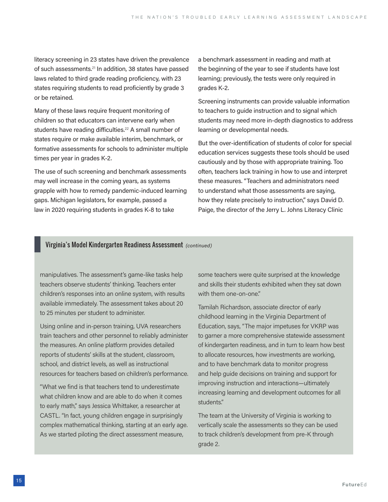literacy screening in 23 states have driven the prevalence of such assessments.<sup>21</sup> In addition, 38 states have passed laws related to third grade reading proficiency, with 23 states requiring students to read proficiently by grade 3 or be retained.

Many of these laws require frequent monitoring of children so that educators can intervene early when students have reading difficulties.<sup>22</sup> A small number of states require or make available interim, benchmark, or formative assessments for schools to administer multiple times per year in grades K-2.

The use of such screening and benchmark assessments may well increase in the coming years, as systems grapple with how to remedy pandemic-induced learning gaps. Michigan legislators, for example, passed a law in 2020 requiring students in grades K-8 to take

a benchmark assessment in reading and math at the beginning of the year to see if students have lost learning; previously, the tests were only required in grades K-2.

Screening instruments can provide valuable information to teachers to guide instruction and to signal which students may need more in-depth diagnostics to address learning or developmental needs.

But the over-identification of students of color for special education services suggests these tools should be used cautiously and by those with appropriate training. Too often, teachers lack training in how to use and interpret these measures. "Teachers and administrators need to understand what those assessments are saying, how they relate precisely to instruction," says David D. Paige, the director of the Jerry L. Johns Literacy Clinic

#### Virginia's Model Kindergarten Readiness Assessment *(continued)*

manipulatives. The assessment's game-like tasks help teachers observe students' thinking. Teachers enter children's responses into an online system, with results available immediately. The assessment takes about 20 to 25 minutes per student to administer.

Using online and in-person training, UVA researchers train teachers and other personnel to reliably administer the measures. An online platform provides detailed reports of students' skills at the student, classroom, school, and district levels, as well as instructional resources for teachers based on children's performance.

"What we find is that teachers tend to underestimate what children know and are able to do when it comes to early math," says Jessica Whittaker, a researcher at CASTL. "In fact, young children engage in surprisingly complex mathematical thinking, starting at an early age. As we started piloting the direct assessment measure,

some teachers were quite surprised at the knowledge and skills their students exhibited when they sat down with them one-on-one."

Tamilah Richardson, associate director of early childhood learning in the Virginia Department of Education, says, "The major impetuses for VKRP was to garner a more comprehensive statewide assessment of kindergarten readiness, and in turn to learn how best to allocate resources, how investments are working, and to have benchmark data to monitor progress and help guide decisions on training and support for improving instruction and interactions—ultimately increasing learning and development outcomes for all students."

The team at the University of Virginia is working to vertically scale the assessments so they can be used to track children's development from pre-K through grade 2.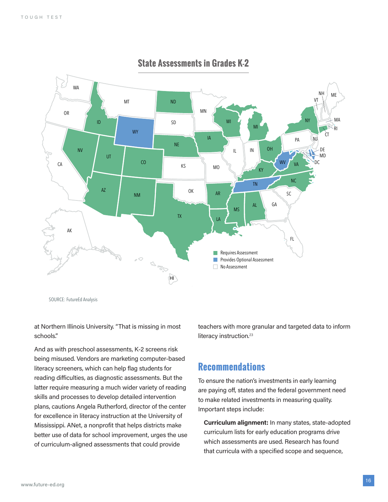

#### **State Assessments in Grades K-2 State Assessments in Grades K-2**

SOURCE: FutureEd Analysis

at Northern Illinois University. "That is missing in most schools."

And as with preschool assessments, K-2 screens risk being misused. Vendors are marketing computer-based literacy screeners, which can help flag students for reading difficulties, as diagnostic assessments. But the latter require measuring a much wider variety of reading skills and processes to develop detailed intervention plans, cautions Angela Rutherford, director of the center for excellence in literacy instruction at the University of Mississippi. ANet, a nonprofit that helps districts make better use of data for school improvement, urges the use of curriculum-aligned assessments that could provide

teachers with more granular and targeted data to inform literacy instruction.<sup>23</sup>

#### **Recommendations**

To ensure the nation's investments in early learning are paying off, states and the federal government need to make related investments in measuring quality. Important steps include:

**Curriculum alignment:** In many states, state-adopted curriculum lists for early education programs drive which assessments are used. Research has found that curricula with a specified scope and sequence,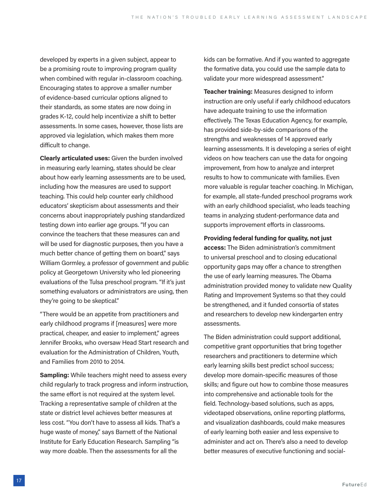developed by experts in a given subject, appear to be a promising route to improving program quality when combined with regular in-classroom coaching. Encouraging states to approve a smaller number of evidence-based curricular options aligned to their standards, as some states are now doing in grades K-12, could help incentivize a shift to better assessments. In some cases, however, those lists are approved via legislation, which makes them more difficult to change.

**Clearly articulated uses:** Given the burden involved in measuring early learning, states should be clear about how early learning assessments are to be used, including how the measures are used to support teaching. This could help counter early childhood educators' skepticism about assessments and their concerns about inappropriately pushing standardized testing down into earlier age groups. "If you can convince the teachers that these measures can and will be used for diagnostic purposes, then you have a much better chance of getting them on board," says William Gormley, a professor of government and public policy at Georgetown University who led pioneering evaluations of the Tulsa preschool program. "If it's just something evaluators or administrators are using, then they're going to be skeptical."

 "There would be an appetite from practitioners and early childhood programs if [measures] were more practical, cheaper, and easier to implement," agrees Jennifer Brooks, who oversaw Head Start research and evaluation for the Administration of Children, Youth, and Families from 2010 to 2014.

**Sampling:** While teachers might need to assess every child regularly to track progress and inform instruction, the same effort is not required at the system level. Tracking a representative sample of children at the state or district level achieves better measures at less cost. "You don't have to assess all kids. That's a huge waste of money," says Barnett of the National Institute for Early Education Research. Sampling "is way more doable. Then the assessments for all the

kids can be formative. And if you wanted to aggregate the formative data, you could use the sample data to validate your more widespread assessment."

**Teacher training:** Measures designed to inform instruction are only useful if early childhood educators have adequate training to use the information effectively. The Texas Education Agency, for example, has provided side-by-side comparisons of the strengths and weaknesses of 14 approved early learning assessments. It is developing a series of eight videos on how teachers can use the data for ongoing improvement, from how to analyze and interpret results to how to communicate with families. Even more valuable is regular teacher coaching. In Michigan, for example, all state-funded preschool programs work with an early childhood specialist, who leads teaching teams in analyzing student-performance data and supports improvement efforts in classrooms.

**Providing federal funding for quality, not just** 

**access:** The Biden administration's commitment to universal preschool and to closing educational opportunity gaps may offer a chance to strengthen the use of early learning measures. The Obama administration provided money to validate new Quality Rating and Improvement Systems so that they could be strengthened, and it funded consortia of states and researchers to develop new kindergarten entry assessments.

The Biden administration could support additional, competitive grant opportunities that bring together researchers and practitioners to determine which early learning skills best predict school success; develop more domain-specific measures of those skills; and figure out how to combine those measures into comprehensive and actionable tools for the field. Technology-based solutions, such as apps, videotaped observations, online reporting platforms, and visualization dashboards, could make measures of early learning both easier and less expensive to administer and act on. There's also a need to develop better measures of executive functioning and social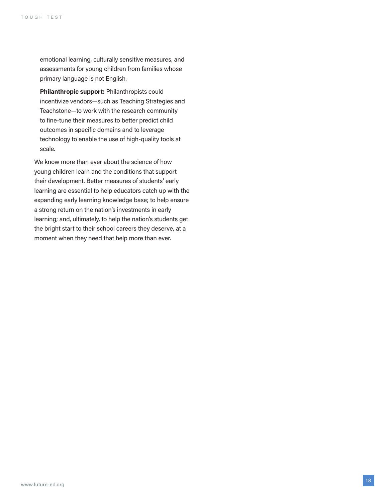emotional learning, culturally sensitive measures, and assessments for young children from families whose primary language is not English.

**Philanthropic support:** Philanthropists could incentivize vendors—such as Teaching Strategies and Teachstone—to work with the research community to fine-tune their measures to better predict child outcomes in specific domains and to leverage technology to enable the use of high-quality tools at scale.

We know more than ever about the science of how young children learn and the conditions that support their development. Better measures of students' early learning are essential to help educators catch up with the expanding early learning knowledge base; to help ensure a strong return on the nation's investments in early learning; and, ultimately, to help the nation's students get the bright start to their school careers they deserve, at a moment when they need that help more than ever.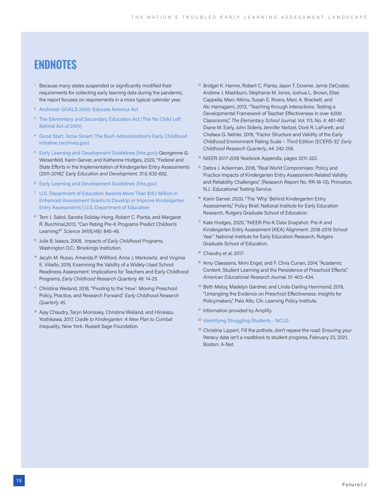### **ENDNOTES**

- <sup>1</sup> Because many states suspended or significantly modified their requirements for collecting early learning data during the pandemic, the report focuses on requirements in a more typical calendar year.
- <sup>2</sup> [Archived: GOALS 2000: Educate America Act](https://www2.ed.gov/legislation/GOALS2000/TheAct/index.html)
- <sup>3</sup> The Elementary and Secondary Education Act (The No Child Left) [Behind Act of 2001\)](https://www2.ed.gov/policy/elsec/leg/esea02/index.html)
- <sup>4</sup> [Good Start, Grow Smart: The Bush Administration's Early Childhood](https://georgewbush-whitehouse.archives.gov/infocus/earlychildhood/earlychildhood.html#:~:text=The%20Bush%20Administration%20has%20proposed%20a%20new%20early,will%20need%20to%20start%20school%20ready%20to%20learn.)  [Initiative \(archives.gov\)](https://georgewbush-whitehouse.archives.gov/infocus/earlychildhood/earlychildhood.html#:~:text=The%20Bush%20Administration%20has%20proposed%20a%20new%20early,will%20need%20to%20start%20school%20ready%20to%20learn.)
- <sup>5</sup> [Early Learning and Development Guidelines \(hhs.gov\)](https://childcareta.acf.hhs.gov/sites/default/files/public/075_1907_state_eldgs_web_final508.pdf); Georgenne G. Weisenfeld, Karin Garver, and Katherine Hodges, 2020, "Federal and State Efforts in the Implementation of Kindergarten Entry Assessments (2011-2018)," *Early Education and Development, 31:5*, 632-652.
- <sup>6</sup> [Early Learning and Development Guidelines \(hhs.gov\)](https://childcareta.acf.hhs.gov/sites/default/files/public/075_1907_state_eldgs_web_final508.pdf)
- <sup>7</sup> [U.S. Department of Education Awards More Than \\$15.1 Million in](https://www.ed.gov/news/press-releases/us-department-education-awards-more-151-million-enhanced-assessment-grants-develop-or-improve-kindergarten-entry-assessments)  [Enhanced Assessment Grants to Develop or Improve Kindergarten](https://www.ed.gov/news/press-releases/us-department-education-awards-more-151-million-enhanced-assessment-grants-develop-or-improve-kindergarten-entry-assessments)  [Entry Assessments | U.S. Department of Education](https://www.ed.gov/news/press-releases/us-department-education-awards-more-151-million-enhanced-assessment-grants-develop-or-improve-kindergarten-entry-assessments)
- <sup>8</sup> Terri J. Sabol, Sandra Soliday-Hong, Robert C. Pianta, and Margaret R. Burchinal,2013, "Can Rating Pre-K Programs Predict Children's Learning?" *Science 341(6,148)*: 845-46.
- <sup>9</sup> Julia B. Isaacs, 2008, *Impacts of Early Childhood Programs*, Washington D.C.: Brookings Institution.
- <sup>10</sup> Jacyln M. Russo, Amanda P. Williford, Anna J. Markowitz, and Virginia E. Vitiello, 2019, Examining the Validity of a Widely-Used School Readiness Assessment: Implications for Teachers and Early Childhood Programs, *Early Childhood Research Quarterly 48*: 14-25.
- <sup>11</sup> Christina Weiland, 2018, "Pivoting to the 'How': Moving Preschool Policy, Practice, and Research Forward," *Early Childhood Research Quarterly 45*.
- <sup>12</sup> Ajay Chaudry, Taryn Morrissey, Christina Weiland, and Hirokazu Yoshikawa, 2017, *Cradle to Kindergarten: A New Plan to Combat Inequality*, New York: Russell Sage Foundation.
- <sup>13</sup> Bridget K. Hamre, Robert C. Pianta, Jason T. Downer, Jamie DeCoster, Andrew J. Mashburn, Stephanie M. Jones, Joshua L. Brown, Elise Cappella, Marc Atkins, Susan E. Rivers, Marc A. Brackett, and Aki Hamagami, 2013, "Teaching through Interactions: Testing a Developmental Framework of Teacher Effectiveness in over 4,000 Classrooms," *The Elementary School Journal*, Vol. 113, No. 4: 461-487; Diane M. Early, John Sideris, Jennifer Neitzel, Doré R. LaForett, and Chelsea G. Nehler, 2018, "Factor Structure and Validity of the Early Childhood Environment Rating Scale – Third Edition (ECERS-3)," *Early Childhood Research Quarterly*, 44: 242-256.
- <sup>14</sup> NIEER 2017-2018 Yearbook Appendix, pages 3211-322.
- <sup>15</sup> Debra J. Ackerman, 2018, "Real World Compromises: Policy and Practice Impacts of Kindergarten Entry Assessment-Related Validity and Reliability Challenges," (Research Report No. RR-18-13), Princeton, N.J.: Educational Testing Service.
- <sup>16</sup> Karin Garver, 2020, "The 'Why' Behind Kindergarten Entry Assessments," Policy Brief, National Institute for Early Education Research, Rutgers Graduate School of Education.
- <sup>17</sup> Kate Hodges, 2020, "NIEER Pre-K Data Snapshot: Pre-K and Kindergarten Entry Assessment (KEA) Alignment: 2018-2019 School Year" National Institute for Early Education Research, Rutgers Graduate School of Education.
- <sup>18</sup> Chaudry et al. 2017.
- <sup>18</sup> Amy Claessens, Mimi Engel, and F. Chris Curran, 2014, "Academic Content, Student Learning and the Persistence of Preschool Effects," *American Educational Research Journal, 51*: 403–434.
- <sup>20</sup> Beth Meloy, Madelyn Gardner, and Linda-Darling Hammond, 2019, "Untangling the Evidence on Preschool Effectiveness: Insights for Policymakers," Palo Alto, CA: Learning Policy Institute.
- <sup>21</sup> Information provided by Amplify.
- <sup>22</sup> [Identifying Struggling Students NCLD](https://www.ncld.org/research/state-of-learning-disabilities/identifying-struggling-students#:~:text=Most%20third-grade%20reading%20laws%20provide%20for%20frequent%20monitoring,all%20of%20these%20states%20allow%20for%20some%20exemptions.)
- <sup>23</sup> Christina Lippert, Fill the pothole, don't repave the road: Ensuring your literacy data isn't a roadblock to student progress, February 23, 2021, Boston: A-Net.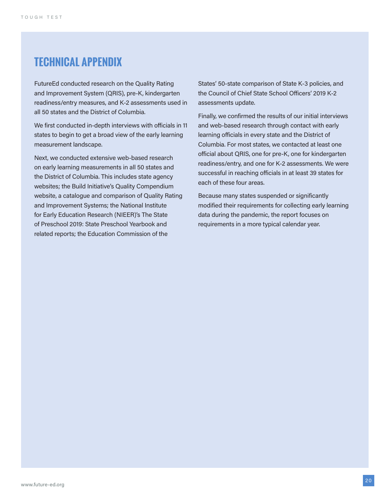### **TECHNICAL APPENDIX**

FutureEd conducted research on the Quality Rating and Improvement System (QRIS), pre-K, kindergarten readiness/entry measures, and K-2 assessments used in all 50 states and the District of Columbia.

We first conducted in-depth interviews with officials in 11 states to begin to get a broad view of the early learning measurement landscape.

Next, we conducted extensive web-based research on early learning measurements in all 50 states and the District of Columbia. This includes state agency websites; the Build Initiative's Quality Compendium website, a catalogue and comparison of Quality Rating and Improvement Systems; the National Institute for Early Education Research (NIEER)'s The State of Preschool 2019: State Preschool Yearbook and related reports; the Education Commission of the

States' 50-state comparison of State K-3 policies, and the Council of Chief State School Officers' 2019 K-2 assessments update.

Finally, we confirmed the results of our initial interviews and web-based research through contact with early learning officials in every state and the District of Columbia. For most states, we contacted at least one official about QRIS, one for pre-K, one for kindergarten readiness/entry, and one for K-2 assessments. We were successful in reaching officials in at least 39 states for each of these four areas.

Because many states suspended or significantly modified their requirements for collecting early learning data during the pandemic, the report focuses on requirements in a more typical calendar year.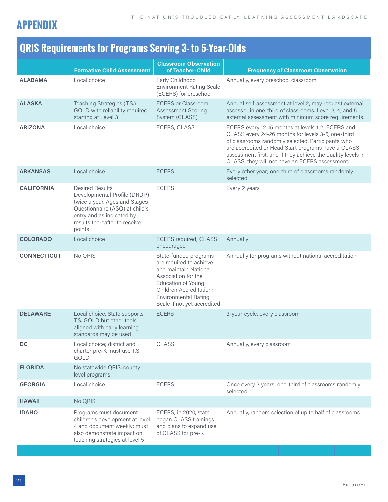

## **QRIS Requirements for Programs Serving 3- to 5-Year-Olds**

|                    |                                                                                                                                                                                                   | <b>Classroom Observation</b>                                                                                                                                                                                    |                                                                                                                                                                                                                                                                                                                                     |
|--------------------|---------------------------------------------------------------------------------------------------------------------------------------------------------------------------------------------------|-----------------------------------------------------------------------------------------------------------------------------------------------------------------------------------------------------------------|-------------------------------------------------------------------------------------------------------------------------------------------------------------------------------------------------------------------------------------------------------------------------------------------------------------------------------------|
|                    | <b>Formative Child Assessment</b>                                                                                                                                                                 | of Teacher-Child                                                                                                                                                                                                | <b>Frequency of Classroom Observation</b>                                                                                                                                                                                                                                                                                           |
| <b>ALABAMA</b>     | Local choice                                                                                                                                                                                      | Early Childhood<br><b>Environment Rating Scale</b><br>(ECERS) for preschool                                                                                                                                     | Annually, every preschool classroom                                                                                                                                                                                                                                                                                                 |
| <b>ALASKA</b>      | Teaching Strategies (T.S.)<br>GOLD with reliability required<br>starting at Level 3                                                                                                               | <b>ECERS or Classroom</b><br><b>Assessment Scoring</b><br>System (CLASS)                                                                                                                                        | Annual self-assessment at level 2, may request external<br>assessor in one-third of classrooms. Level 3, 4, and 5<br>external assessment with minimum score requirements.                                                                                                                                                           |
| <b>ARIZONA</b>     | Local choice                                                                                                                                                                                      | ECERS, CLASS                                                                                                                                                                                                    | ECERS every 12-15 months at levels 1-2; ECERS and<br>CLASS every 24-26 months for levels 3-5, one-third<br>of classrooms randomly selected. Participants who<br>are accredited or Head Start programs have a CLASS<br>assessment first, and if they achieve the quality levels in<br>CLASS, they will not have an ECERS assessment. |
| <b>ARKANSAS</b>    | Local choice                                                                                                                                                                                      | <b>ECERS</b>                                                                                                                                                                                                    | Every other year; one-third of classrooms randomly<br>selected                                                                                                                                                                                                                                                                      |
| <b>CALIFORNIA</b>  | <b>Desired Results</b><br>Developmental Profile (DRDP)<br>twice a year, Ages and Stages<br>Questionnaire (ASQ) at child's<br>entry and as indicated by<br>results thereafter to receive<br>points | <b>ECERS</b>                                                                                                                                                                                                    | Every 2 years                                                                                                                                                                                                                                                                                                                       |
| <b>COLORADO</b>    | Local choice                                                                                                                                                                                      | <b>ECERS</b> required; CLASS<br>encouraged                                                                                                                                                                      | Annually                                                                                                                                                                                                                                                                                                                            |
| <b>CONNECTICUT</b> | No QRIS                                                                                                                                                                                           | State-funded programs<br>are required to achieve<br>and maintain National<br>Association for the<br>Education of Young<br>Children Accreditation;<br><b>Environmental Rating</b><br>Scale if not yet accredited | Annually for programs without national accreditation                                                                                                                                                                                                                                                                                |
| <b>DELAWARE</b>    | Local choice. State supports<br>T.S. GOLD but other tools<br>aligned with early learning<br>standards may be used                                                                                 | <b>ECERS</b>                                                                                                                                                                                                    | 3-year cycle, every classroom                                                                                                                                                                                                                                                                                                       |
| DC                 | Local choice; district and<br>charter pre-K must use T.S.<br>GOLD                                                                                                                                 | CLASS                                                                                                                                                                                                           | Annually, every classroom                                                                                                                                                                                                                                                                                                           |
| <b>FLORIDA</b>     | No statewide QRIS, county-<br>level programs                                                                                                                                                      |                                                                                                                                                                                                                 |                                                                                                                                                                                                                                                                                                                                     |
| <b>GEORGIA</b>     | Local choice                                                                                                                                                                                      | <b>ECERS</b>                                                                                                                                                                                                    | Once every 3 years; one-third of classrooms randomly<br>selected                                                                                                                                                                                                                                                                    |
| <b>HAWAII</b>      | No QRIS                                                                                                                                                                                           |                                                                                                                                                                                                                 |                                                                                                                                                                                                                                                                                                                                     |
| <b>IDAHO</b>       | Programs must document<br>children's development at level<br>4 and document weekly; must<br>also demonstrate impact on<br>teaching strategies at level 5                                          | ECERS; in 2020, state<br>began CLASS trainings<br>and plans to expand use<br>of CLASS for pre-K                                                                                                                 | Annually, random selection of up to half of classrooms                                                                                                                                                                                                                                                                              |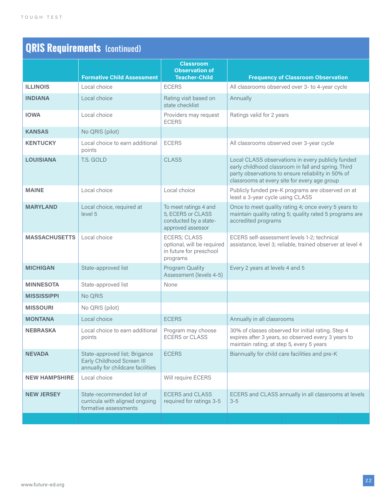| <b>QRIS Requirements (continued)</b> |                                                                                                  |                                                                                          |                                                                                                                                                                                                                |
|--------------------------------------|--------------------------------------------------------------------------------------------------|------------------------------------------------------------------------------------------|----------------------------------------------------------------------------------------------------------------------------------------------------------------------------------------------------------------|
|                                      | <b>Formative Child Assessment</b>                                                                | <b>Classroom</b><br><b>Observation of</b><br><b>Teacher-Child</b>                        | <b>Frequency of Classroom Observation</b>                                                                                                                                                                      |
| <b>ILLINOIS</b>                      | Local choice                                                                                     | <b>ECERS</b>                                                                             | All classrooms observed over 3- to 4-year cycle                                                                                                                                                                |
| <b>INDIANA</b>                       | Local choice                                                                                     | Rating visit based on<br>state checklist                                                 | Annually                                                                                                                                                                                                       |
| <b>IOWA</b>                          | Local choice                                                                                     | Providers may request<br><b>ECERS</b>                                                    | Ratings valid for 2 years                                                                                                                                                                                      |
| <b>KANSAS</b>                        | No QRIS (pilot)                                                                                  |                                                                                          |                                                                                                                                                                                                                |
| <b>KENTUCKY</b>                      | Local choice to earn additional<br>points                                                        | <b>ECERS</b>                                                                             | All classrooms observed over 3-year cycle                                                                                                                                                                      |
| <b>LOUISIANA</b>                     | T.S. GOLD                                                                                        | <b>CLASS</b>                                                                             | Local CLASS observations in every publicly funded<br>early childhood classroom in fall and spring. Third<br>party observations to ensure reliability in 50% of<br>classrooms at every site for every age group |
| <b>MAINE</b>                         | Local choice                                                                                     | Local choice                                                                             | Publicly funded pre-K programs are observed on at<br>least a 3-year cycle using CLASS                                                                                                                          |
| <b>MARYLAND</b>                      | Local choice, required at<br>level 5                                                             | To meet ratings 4 and<br>5, ECERS or CLASS<br>conducted by a state-<br>approved assessor | Once to meet quality rating 4; once every 5 years to<br>maintain quality rating 5; quality rated 5 programs are<br>accredited programs                                                                         |
| <b>MASSACHUSETTS</b>                 | Local choice                                                                                     | <b>ECERS; CLASS</b><br>optional, will be required<br>in future for preschool<br>programs | ECERS self-assessment levels 1-2; technical<br>assistance, level 3; reliable, trained observer at level 4                                                                                                      |
| <b>MICHIGAN</b>                      | State-approved list                                                                              | Program Quality<br>Assessment (levels 4-5)                                               | Every 2 years at levels 4 and 5                                                                                                                                                                                |
| <b>MINNESOTA</b>                     | State-approved list                                                                              | None                                                                                     |                                                                                                                                                                                                                |
| <b>MISSISSIPPI</b>                   | No QRIS                                                                                          |                                                                                          |                                                                                                                                                                                                                |
| <b>MISSOURI</b>                      | No QRIS (pilot)                                                                                  |                                                                                          |                                                                                                                                                                                                                |
| <b>MONTANA</b>                       | Local choice                                                                                     | <b>ECERS</b>                                                                             | Annually in all classrooms                                                                                                                                                                                     |
| <b>NEBRASKA</b>                      | Local choice to earn additional<br>points                                                        | Program may choose<br><b>ECERS or CLASS</b>                                              | 30% of classes observed for initial rating. Step 4<br>expires after 3 years, so observed every 3 years to<br>maintain rating; at step 5, every 5 years                                                         |
| <b>NEVADA</b>                        | State-approved list; Brigance<br>Early Childhood Screen III<br>annually for childcare facilities | <b>ECERS</b>                                                                             | Biannually for child care facilities and pre-K                                                                                                                                                                 |
| <b>NEW HAMPSHIRE</b>                 | Local choice                                                                                     | Will require ECERS                                                                       |                                                                                                                                                                                                                |
| <b>NEW JERSEY</b>                    | State-recommended list of<br>curricula with aligned ongoing<br>formative assessments             | <b>ECERS and CLASS</b><br>required for ratings 3-5                                       | ECERS and CLASS annually in all classrooms at levels<br>$3 - 5$                                                                                                                                                |
|                                      |                                                                                                  |                                                                                          |                                                                                                                                                                                                                |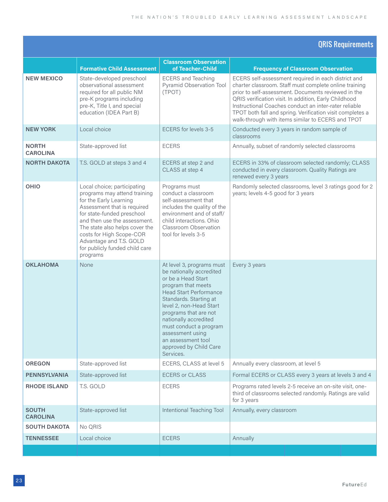#### QRIS Requirements

|                                 | <b>Formative Child Assessment</b>                                                                                                                                                                                                                                                                                         | <b>Classroom Observation</b><br>of Teacher-Child                                                                                                                                                                                                                                                                                                     | <b>Frequency of Classroom Observation</b>                                                                                                                                                                                                                                                                                                                                                                |
|---------------------------------|---------------------------------------------------------------------------------------------------------------------------------------------------------------------------------------------------------------------------------------------------------------------------------------------------------------------------|------------------------------------------------------------------------------------------------------------------------------------------------------------------------------------------------------------------------------------------------------------------------------------------------------------------------------------------------------|----------------------------------------------------------------------------------------------------------------------------------------------------------------------------------------------------------------------------------------------------------------------------------------------------------------------------------------------------------------------------------------------------------|
| <b>NEW MEXICO</b>               | State-developed preschool<br>observational assessment<br>required for all public NM<br>pre-K programs including<br>pre-K, Title I, and special<br>education (IDEA Part B)                                                                                                                                                 | <b>ECERS</b> and Teaching<br>Pyramid Observation Tool<br>(TPOT)                                                                                                                                                                                                                                                                                      | ECERS self-assessment required in each district and<br>charter classroom. Staff must complete online training<br>prior to self-assessment. Documents reviewed in the<br>QRIS verification visit. In addition, Early Childhood<br>Instructional Coaches conduct an inter-rater reliable<br>TPOT both fall and spring. Verification visit completes a<br>walk-through with items similar to ECERS and TPOT |
| <b>NEW YORK</b>                 | Local choice                                                                                                                                                                                                                                                                                                              | ECERS for levels 3-5                                                                                                                                                                                                                                                                                                                                 | Conducted every 3 years in random sample of<br>classrooms                                                                                                                                                                                                                                                                                                                                                |
| <b>NORTH</b><br><b>CAROLINA</b> | State-approved list                                                                                                                                                                                                                                                                                                       | <b>ECERS</b>                                                                                                                                                                                                                                                                                                                                         | Annually, subset of randomly selected classrooms                                                                                                                                                                                                                                                                                                                                                         |
| <b>NORTH DAKOTA</b>             | T.S. GOLD at steps 3 and 4                                                                                                                                                                                                                                                                                                | ECERS at step 2 and<br>CLASS at step 4                                                                                                                                                                                                                                                                                                               | ECERS in 33% of classroom selected randomly; CLASS<br>conducted in every classroom. Quality Ratings are<br>renewed every 3 years                                                                                                                                                                                                                                                                         |
| OHIO                            | Local choice; participating<br>programs may attend training<br>for the Early Learning<br>Assessment that is required<br>for state-funded preschool<br>and then use the assessment.<br>The state also helps cover the<br>costs for High Scope-COR<br>Advantage and T.S. GOLD<br>for publicly funded child care<br>programs | Programs must<br>conduct a classroom<br>self-assessment that<br>includes the quality of the<br>environment and of staff/<br>child interactions. Ohio<br>Classroom Observation<br>tool for levels 3-5                                                                                                                                                 | Randomly selected classrooms, level 3 ratings good for 2<br>years; levels 4-5 good for 3 years                                                                                                                                                                                                                                                                                                           |
| <b>OKLAHOMA</b>                 | None                                                                                                                                                                                                                                                                                                                      | At level 3, programs must<br>be nationally accredited<br>or be a Head Start<br>program that meets<br><b>Head Start Performance</b><br>Standards. Starting at<br>level 2, non-Head Start<br>programs that are not<br>nationally accredited<br>must conduct a program<br>assessment using<br>an assessment tool<br>approved by Child Care<br>Services. | Every 3 years                                                                                                                                                                                                                                                                                                                                                                                            |
| <b>OREGON</b>                   | State-approved list                                                                                                                                                                                                                                                                                                       | ECERS, CLASS at level 5                                                                                                                                                                                                                                                                                                                              | Annually every classroom, at level 5                                                                                                                                                                                                                                                                                                                                                                     |
| <b>PENNSYLVANIA</b>             | State-approved list                                                                                                                                                                                                                                                                                                       | <b>ECERS or CLASS</b>                                                                                                                                                                                                                                                                                                                                | Formal ECERS or CLASS every 3 years at levels 3 and 4                                                                                                                                                                                                                                                                                                                                                    |
| <b>RHODE ISLAND</b>             | T.S. GOLD                                                                                                                                                                                                                                                                                                                 | <b>ECERS</b>                                                                                                                                                                                                                                                                                                                                         | Programs rated levels 2-5 receive an on-site visit, one-<br>third of classrooms selected randomly. Ratings are valid<br>for 3 years                                                                                                                                                                                                                                                                      |
| <b>SOUTH</b><br><b>CAROLINA</b> | State-approved list                                                                                                                                                                                                                                                                                                       | Intentional Teaching Tool                                                                                                                                                                                                                                                                                                                            | Annually, every classroom                                                                                                                                                                                                                                                                                                                                                                                |
| <b>SOUTH DAKOTA</b>             | No QRIS                                                                                                                                                                                                                                                                                                                   |                                                                                                                                                                                                                                                                                                                                                      |                                                                                                                                                                                                                                                                                                                                                                                                          |
| <b>TENNESSEE</b>                | Local choice                                                                                                                                                                                                                                                                                                              | <b>ECERS</b>                                                                                                                                                                                                                                                                                                                                         | Annually                                                                                                                                                                                                                                                                                                                                                                                                 |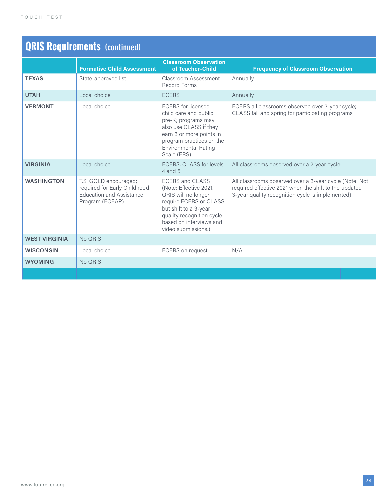| <b>QRIS Requirements (continued)</b> |                                                                                                             |                                                                                                                                                                                                           |                                                                                                                                                                     |
|--------------------------------------|-------------------------------------------------------------------------------------------------------------|-----------------------------------------------------------------------------------------------------------------------------------------------------------------------------------------------------------|---------------------------------------------------------------------------------------------------------------------------------------------------------------------|
|                                      | <b>Formative Child Assessment</b>                                                                           | <b>Classroom Observation</b><br>of Teacher-Child                                                                                                                                                          | <b>Frequency of Classroom Observation</b>                                                                                                                           |
| <b>TEXAS</b>                         | State-approved list                                                                                         | Classroom Assessment<br><b>Record Forms</b>                                                                                                                                                               | Annually                                                                                                                                                            |
| <b>UTAH</b>                          | Local choice                                                                                                | <b>ECERS</b>                                                                                                                                                                                              | Annually                                                                                                                                                            |
| <b>VERMONT</b>                       | Local choice                                                                                                | <b>ECERS</b> for licensed<br>child care and public<br>pre-K; programs may<br>also use CLASS if they<br>earn 3 or more points in<br>program practices on the<br><b>Environmental Rating</b><br>Scale (ERS) | ECERS all classrooms observed over 3-year cycle;<br>CLASS fall and spring for participating programs                                                                |
| <b>VIRGINIA</b>                      | Local choice                                                                                                | ECERS, CLASS for levels<br>$4$ and $5$                                                                                                                                                                    | All classrooms observed over a 2-year cycle                                                                                                                         |
| <b>WASHINGTON</b>                    | T.S. GOLD encouraged;<br>required for Early Childhood<br><b>Education and Assistance</b><br>Program (ECEAP) | <b>ECERS and CLASS</b><br>(Note: Effective 2021,<br>QRIS will no longer<br>require ECERS or CLASS<br>but shift to a 3-year<br>quality recognition cycle<br>based on interviews and<br>video submissions.) | All classrooms observed over a 3-year cycle (Note: Not<br>required effective 2021 when the shift to the updated<br>3-year quality recognition cycle is implemented) |
| <b>WEST VIRGINIA</b>                 | No QRIS                                                                                                     |                                                                                                                                                                                                           |                                                                                                                                                                     |
| <b>WISCONSIN</b>                     | Local choice                                                                                                | <b>ECERS</b> on request                                                                                                                                                                                   | N/A                                                                                                                                                                 |
| <b>WYOMING</b>                       | No QRIS                                                                                                     |                                                                                                                                                                                                           |                                                                                                                                                                     |
|                                      |                                                                                                             |                                                                                                                                                                                                           |                                                                                                                                                                     |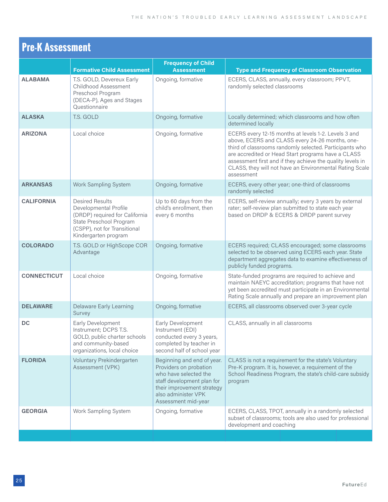| <b>Pre-K Assessment</b> |                                                                                                                                                                      |                                                                                                                                                                                         |                                                                                                                                                                                                                                                                                                                                                                 |
|-------------------------|----------------------------------------------------------------------------------------------------------------------------------------------------------------------|-----------------------------------------------------------------------------------------------------------------------------------------------------------------------------------------|-----------------------------------------------------------------------------------------------------------------------------------------------------------------------------------------------------------------------------------------------------------------------------------------------------------------------------------------------------------------|
|                         | <b>Formative Child Assessment</b>                                                                                                                                    | <b>Frequency of Child</b><br><b>Assessment</b>                                                                                                                                          | <b>Type and Frequency of Classroom Observation</b>                                                                                                                                                                                                                                                                                                              |
| <b>ALABAMA</b>          | T.S. GOLD, Devereux Early<br>Childhood Assessment<br>Preschool Program<br>(DECA-P), Ages and Stages<br>Questionnaire                                                 | Ongoing, formative                                                                                                                                                                      | ECERS, CLASS, annually, every classroom; PPVT,<br>randomly selected classrooms                                                                                                                                                                                                                                                                                  |
| <b>ALASKA</b>           | T.S. GOLD                                                                                                                                                            | Ongoing, formative                                                                                                                                                                      | Locally determined; which classrooms and how often<br>determined locally                                                                                                                                                                                                                                                                                        |
| <b>ARIZONA</b>          | Local choice                                                                                                                                                         | Ongoing, formative                                                                                                                                                                      | ECERS every 12-15 months at levels 1-2. Levels 3 and<br>above, ECERS and CLASS every 24-26 months, one-<br>third of classrooms randomly selected. Participants who<br>are accredited or Head Start programs have a CLASS<br>assessment first and if they achieve the quality levels in<br>CLASS, they will not have an Environmental Rating Scale<br>assessment |
| <b>ARKANSAS</b>         | <b>Work Sampling System</b>                                                                                                                                          | Ongoing, formative                                                                                                                                                                      | ECERS, every other year; one-third of classrooms<br>randomly selected                                                                                                                                                                                                                                                                                           |
| <b>CALIFORNIA</b>       | <b>Desired Results</b><br>Developmental Profile<br>(DRDP) required for California<br>State Preschool Program<br>(CSPP), not for Transitional<br>Kindergarten program | Up to 60 days from the<br>child's enrollment, then<br>every 6 months                                                                                                                    | ECERS, self-review annually; every 3 years by external<br>rater; self-review plan submitted to state each year<br>based on DRDP & ECERS & DRDP parent survey                                                                                                                                                                                                    |
| <b>COLORADO</b>         | T.S. GOLD or HighScope COR<br>Advantage                                                                                                                              | Ongoing, formative                                                                                                                                                                      | ECERS required; CLASS encouraged; some classrooms<br>selected to be observed using ECERS each year. State<br>department aggregates data to examine effectiveness of<br>publicly funded programs.                                                                                                                                                                |
| <b>CONNECTICUT</b>      | Local choice                                                                                                                                                         | Ongoing, formative                                                                                                                                                                      | State-funded programs are required to achieve and<br>maintain NAEYC accreditation; programs that have not<br>yet been accredited must participate in an Environmental<br>Rating Scale annually and prepare an improvement plan                                                                                                                                  |
| <b>DELAWARE</b>         | <b>Delaware Early Learning</b><br>Survey                                                                                                                             | Ongoing, formative                                                                                                                                                                      | ECERS, all classrooms observed over 3-year cycle                                                                                                                                                                                                                                                                                                                |
| DC                      | Early Development<br>Instrument; DCPS T.S.<br>GOLD, public charter schools<br>and community-based<br>organizations, local choice                                     | Early Development<br>Instrument (EDI)<br>conducted every 3 years,<br>completed by teacher in<br>second half of school year                                                              | CLASS, annually in all classrooms                                                                                                                                                                                                                                                                                                                               |
| <b>FLORIDA</b>          | Voluntary Prekindergarten<br>Assessment (VPK)                                                                                                                        | Beginning and end of year.<br>Providers on probation<br>who have selected the<br>staff development plan for<br>their improvement strategy<br>also administer VPK<br>Assessment mid-year | CLASS is not a requirement for the state's Voluntary<br>Pre-K program. It is, however, a requirement of the<br>School Readiness Program, the state's child-care subsidy<br>program                                                                                                                                                                              |
| <b>GEORGIA</b>          | Work Sampling System                                                                                                                                                 | Ongoing, formative                                                                                                                                                                      | ECERS, CLASS, TPOT, annually in a randomly selected<br>subset of classrooms; tools are also used for professional<br>development and coaching                                                                                                                                                                                                                   |
|                         |                                                                                                                                                                      |                                                                                                                                                                                         |                                                                                                                                                                                                                                                                                                                                                                 |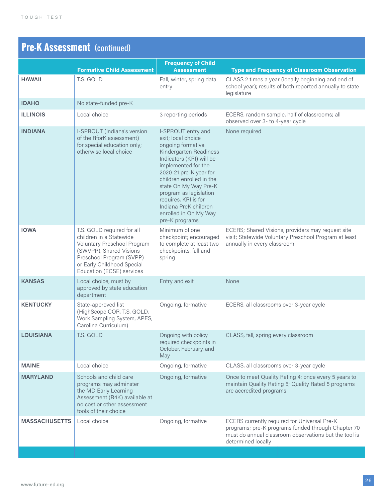| <b>Pre-K Assessment</b> (continued) |                                                                                                                                                                                                        |                                                                                                                                                                                                                                                                                                                                                  |                                                                                                                                                                                   |  |
|-------------------------------------|--------------------------------------------------------------------------------------------------------------------------------------------------------------------------------------------------------|--------------------------------------------------------------------------------------------------------------------------------------------------------------------------------------------------------------------------------------------------------------------------------------------------------------------------------------------------|-----------------------------------------------------------------------------------------------------------------------------------------------------------------------------------|--|
|                                     | <b>Formative Child Assessment</b>                                                                                                                                                                      | <b>Frequency of Child</b><br><b>Assessment</b>                                                                                                                                                                                                                                                                                                   | <b>Type and Frequency of Classroom Observation</b>                                                                                                                                |  |
| <b>HAWAII</b>                       | T.S. GOLD                                                                                                                                                                                              | Fall, winter, spring data<br>entry                                                                                                                                                                                                                                                                                                               | CLASS 2 times a year (ideally beginning and end of<br>school year); results of both reported annually to state<br>legislature                                                     |  |
| <b>IDAHO</b>                        | No state-funded pre-K                                                                                                                                                                                  |                                                                                                                                                                                                                                                                                                                                                  |                                                                                                                                                                                   |  |
| <b>ILLINOIS</b>                     | Local choice                                                                                                                                                                                           | 3 reporting periods                                                                                                                                                                                                                                                                                                                              | ECERS, random sample, half of classrooms; all<br>observed over 3- to 4-year cycle                                                                                                 |  |
| <b>INDIANA</b>                      | <b>I-SPROUT</b> (Indiana's version<br>of the RforK assessment)<br>for special education only;<br>otherwise local choice                                                                                | I-SPROUT entry and<br>exit; local choice<br>ongoing formative.<br>Kindergarten Readiness<br>Indicators (KRI) will be<br>implemented for the<br>2020-21 pre-K year for<br>children enrolled in the<br>state On My Way Pre-K<br>program as legislation<br>requires. KRI is for<br>Indiana PreK children<br>enrolled in On My Way<br>pre-K programs | None required                                                                                                                                                                     |  |
| <b>IOWA</b>                         | T.S. GOLD required for all<br>children in a Statewide<br>Voluntary Preschool Program<br>(SWVPP), Shared Visions<br>Preschool Program (SVPP)<br>or Early Childhood Special<br>Education (ECSE) services | Minimum of one<br>checkpoint; encouraged<br>to complete at least two<br>checkpoints, fall and<br>spring                                                                                                                                                                                                                                          | ECERS; Shared Visions, providers may request site<br>visit; Statewide Voluntary Preschool Program at least<br>annually in every classroom                                         |  |
| <b>KANSAS</b>                       | Local choice, must by<br>approved by state education<br>department                                                                                                                                     | Entry and exit                                                                                                                                                                                                                                                                                                                                   | None                                                                                                                                                                              |  |
| <b>KENTUCKY</b>                     | State-approved list<br>(HighScope COR, T.S. GOLD,<br>Work Sampling System, APES,<br>Carolina Curriculum)                                                                                               | Ongoing, formative                                                                                                                                                                                                                                                                                                                               | ECERS, all classrooms over 3-year cycle                                                                                                                                           |  |
| <b>LOUISIANA</b>                    | T.S. GOLD                                                                                                                                                                                              | Ongoing with policy<br>required checkpoints in<br>October, February, and<br>May                                                                                                                                                                                                                                                                  | CLASS, fall, spring every classroom                                                                                                                                               |  |
| <b>MAINE</b>                        | Local choice                                                                                                                                                                                           | Ongoing, formative                                                                                                                                                                                                                                                                                                                               | CLASS, all classrooms over 3-year cycle                                                                                                                                           |  |
| <b>MARYLAND</b>                     | Schools and child care<br>programs may adminster<br>the MD Early Learning<br>Assessment (R4K) available at<br>no cost or other assessment<br>tools of their choice                                     | Ongoing, formative                                                                                                                                                                                                                                                                                                                               | Once to meet Quality Rating 4; once every 5 years to<br>maintain Quality Rating 5; Quality Rated 5 programs<br>are accredited programs                                            |  |
| <b>MASSACHUSETTS</b>                | Local choice                                                                                                                                                                                           | Ongoing, formative                                                                                                                                                                                                                                                                                                                               | ECERS currently required for Universal Pre-K<br>programs; pre-K programs funded through Chapter 70<br>must do annual classroom observations but the tool is<br>determined locally |  |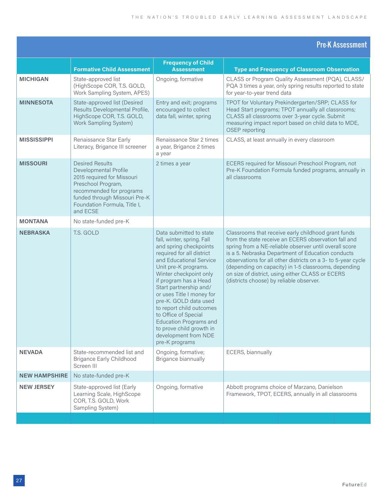|                      |                                                                                                                                                                                                              |                                                                                                                                                                                                                                                                                                                                                                                                                                                               | <b>Pre-K Assessment</b>                                                                                                                                                                                                                                                                                                                                                                                                                            |
|----------------------|--------------------------------------------------------------------------------------------------------------------------------------------------------------------------------------------------------------|---------------------------------------------------------------------------------------------------------------------------------------------------------------------------------------------------------------------------------------------------------------------------------------------------------------------------------------------------------------------------------------------------------------------------------------------------------------|----------------------------------------------------------------------------------------------------------------------------------------------------------------------------------------------------------------------------------------------------------------------------------------------------------------------------------------------------------------------------------------------------------------------------------------------------|
|                      | <b>Formative Child Assessment</b>                                                                                                                                                                            | <b>Frequency of Child</b><br><b>Assessment</b>                                                                                                                                                                                                                                                                                                                                                                                                                | <b>Type and Frequency of Classroom Observation</b>                                                                                                                                                                                                                                                                                                                                                                                                 |
| <b>MICHIGAN</b>      | State-approved list<br>(HighScope COR, T.S. GOLD,<br>Work Sampling System, APES)                                                                                                                             | Ongoing, formative                                                                                                                                                                                                                                                                                                                                                                                                                                            | CLASS or Program Quality Assessment (PQA), CLASS/<br>PQA 3 times a year, only spring results reported to state<br>for year-to-year trend data                                                                                                                                                                                                                                                                                                      |
| <b>MINNESOTA</b>     | State-approved list (Desired<br>Results Developmental Profile,<br>HighScope COR, T.S. GOLD,<br><b>Work Sampling System)</b>                                                                                  | Entry and exit; programs<br>encouraged to collect<br>data fall, winter, spring                                                                                                                                                                                                                                                                                                                                                                                | TPOT for Voluntary Prekindergarten/SRP; CLASS for<br>Head Start programs; TPOT annually all classrooms;<br>CLASS all classrooms over 3-year cycle. Submit<br>measuring impact report based on child data to MDE,<br>OSEP reporting                                                                                                                                                                                                                 |
| <b>MISSISSIPPI</b>   | Renaissance Star Early<br>Literacy, Brigance III screener                                                                                                                                                    | Renaissance Star 2 times<br>a year, Brigance 2 times<br>a year                                                                                                                                                                                                                                                                                                                                                                                                | CLASS, at least annually in every classroom                                                                                                                                                                                                                                                                                                                                                                                                        |
| <b>MISSOURI</b>      | <b>Desired Results</b><br>Developmental Profile<br>2015 required for Missouri<br>Preschool Program,<br>recommended for programs<br>funded through Missouri Pre-K<br>Foundation Formula, Title I,<br>and ECSE | 2 times a year                                                                                                                                                                                                                                                                                                                                                                                                                                                | ECERS required for Missouri Preschool Program, not<br>Pre-K Foundation Formula funded programs, annually in<br>all classrooms                                                                                                                                                                                                                                                                                                                      |
| <b>MONTANA</b>       | No state-funded pre-K                                                                                                                                                                                        |                                                                                                                                                                                                                                                                                                                                                                                                                                                               |                                                                                                                                                                                                                                                                                                                                                                                                                                                    |
| <b>NEBRASKA</b>      | T.S. GOLD                                                                                                                                                                                                    | Data submitted to state<br>fall, winter, spring. Fall<br>and spring checkpoints<br>required for all district<br>and Educational Service<br>Unit pre-K programs.<br>Winter checkpoint only<br>if program has a Head<br>Start partnership and/<br>or uses Title I money for<br>pre-K. GOLD data used<br>to report child outcomes<br>to Office of Special<br><b>Education Programs and</b><br>to prove child growth in<br>development from NDE<br>pre-K programs | Classrooms that receive early childhood grant funds<br>from the state receive an ECERS observation fall and<br>spring from a NE-reliable observer until overall score<br>is a 5. Nebraska Department of Education conducts<br>observations for all other districts on a 3- to 5-year cycle<br>(depending on capacity) in 1-5 classrooms, depending<br>on size of district, using either CLASS or ECERS<br>(districts choose) by reliable observer. |
| <b>NEVADA</b>        | State-recommended list and<br><b>Brigance Early Childhood</b><br>Screen III                                                                                                                                  | Ongoing, formative;<br>Brigance biannually                                                                                                                                                                                                                                                                                                                                                                                                                    | ECERS, biannually                                                                                                                                                                                                                                                                                                                                                                                                                                  |
| <b>NEW HAMPSHIRE</b> | No state-funded pre-K                                                                                                                                                                                        |                                                                                                                                                                                                                                                                                                                                                                                                                                                               |                                                                                                                                                                                                                                                                                                                                                                                                                                                    |
| <b>NEW JERSEY</b>    | State-approved list (Early<br>Learning Scale, HighScope<br>COR, T.S. GOLD, Work<br>Sampling System)                                                                                                          | Ongoing, formative                                                                                                                                                                                                                                                                                                                                                                                                                                            | Abbott programs choice of Marzano, Danielson<br>Framework, TPOT, ECERS, annually in all classrooms                                                                                                                                                                                                                                                                                                                                                 |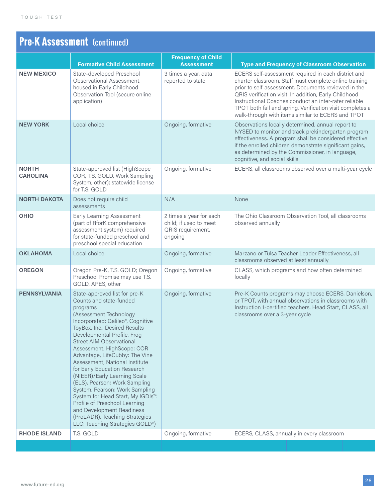## **Pre-K Assessment** (continued)

|                                 |                                                                                                                                                                                                                                                                                                                                                                                                                                                                                                                                                                                                                                                                               | <b>Frequency of Child</b>                                                         |                                                                                                                                                                                                                                                                                                                                                                                                          |
|---------------------------------|-------------------------------------------------------------------------------------------------------------------------------------------------------------------------------------------------------------------------------------------------------------------------------------------------------------------------------------------------------------------------------------------------------------------------------------------------------------------------------------------------------------------------------------------------------------------------------------------------------------------------------------------------------------------------------|-----------------------------------------------------------------------------------|----------------------------------------------------------------------------------------------------------------------------------------------------------------------------------------------------------------------------------------------------------------------------------------------------------------------------------------------------------------------------------------------------------|
|                                 | <b>Formative Child Assessment</b>                                                                                                                                                                                                                                                                                                                                                                                                                                                                                                                                                                                                                                             | <b>Assessment</b>                                                                 | <b>Type and Frequency of Classroom Observation</b>                                                                                                                                                                                                                                                                                                                                                       |
| <b>NEW MEXICO</b>               | State-developed Preschool<br>Observational Assessment,<br>housed in Early Childhood<br>Observation Tool (secure online<br>application)                                                                                                                                                                                                                                                                                                                                                                                                                                                                                                                                        | 3 times a year, data<br>reported to state                                         | ECERS self-assessment required in each district and<br>charter classroom. Staff must complete online training<br>prior to self-assessment. Documents reviewed in the<br>QRIS verification visit. In addition, Early Childhood<br>Instructional Coaches conduct an inter-rater reliable<br>TPOT both fall and spring. Verification visit completes a<br>walk-through with items similar to ECERS and TPOT |
| <b>NEW YORK</b>                 | Local choice                                                                                                                                                                                                                                                                                                                                                                                                                                                                                                                                                                                                                                                                  | Ongoing, formative                                                                | Observations locally determined, annual report to<br>NYSED to monitor and track prekindergarten program<br>effectiveness. A program shall be considered effective<br>if the enrolled children demonstrate significant gains,<br>as determined by the Commissioner, in language,<br>cognitive, and social skills                                                                                          |
| <b>NORTH</b><br><b>CAROLINA</b> | State-approved list (HighScope<br>COR, T.S. GOLD, Work Sampling<br>System, other); statewide license<br>for T.S. GOLD                                                                                                                                                                                                                                                                                                                                                                                                                                                                                                                                                         | Ongoing, formative                                                                | ECERS, all classrooms observed over a multi-year cycle                                                                                                                                                                                                                                                                                                                                                   |
| <b>NORTH DAKOTA</b>             | Does not require child<br>assessments                                                                                                                                                                                                                                                                                                                                                                                                                                                                                                                                                                                                                                         | N/A                                                                               | None                                                                                                                                                                                                                                                                                                                                                                                                     |
| OHIO                            | <b>Early Learning Assessment</b><br>(part of RforK comprehensive<br>assessment system) required<br>for state-funded preschool and<br>preschool special education                                                                                                                                                                                                                                                                                                                                                                                                                                                                                                              | 2 times a year for each<br>child; if used to meet<br>QRIS requirement,<br>ongoing | The Ohio Classroom Observation Tool, all classrooms<br>observed annually                                                                                                                                                                                                                                                                                                                                 |
| <b>OKLAHOMA</b>                 | Local choice                                                                                                                                                                                                                                                                                                                                                                                                                                                                                                                                                                                                                                                                  | Ongoing, formative                                                                | Marzano or Tulsa Teacher Leader Effectiveness, all<br>classrooms observed at least annually                                                                                                                                                                                                                                                                                                              |
| <b>OREGON</b>                   | Oregon Pre-K, T.S. GOLD; Oregon<br>Preschool Promise may use T.S.<br>GOLD, APES, other                                                                                                                                                                                                                                                                                                                                                                                                                                                                                                                                                                                        | Ongoing, formative                                                                | CLASS, which programs and how often determined<br>locally                                                                                                                                                                                                                                                                                                                                                |
| <b>PENNSYLVANIA</b>             | State-approved list for pre-K<br>Counts and state-funded<br>programs<br>(Assessment Technology<br>Incorporated: Galileo®, Cognitive<br>ToyBox, Inc., Desired Results<br>Developmental Profile, Frog<br><b>Street AIM Observational</b><br>Assessment, HighScope: COR<br>Advantage, LifeCubby: The Vine<br>Assessment, National Institute<br>for Early Education Research<br>(NIEER)/Early Learning Scale<br>(ELS), Pearson: Work Sampling<br>System, Pearson: Work Sampling<br>System for Head Start, My IGDIs <sup>™</sup> :<br>Profile of Preschool Learning<br>and Development Readiness<br>(ProLADR), Teaching Strategies<br>LLC: Teaching Strategies GOLD <sup>®</sup> ) | Ongoing, formative                                                                | Pre-K Counts programs may choose ECERS, Danielson,<br>or TPOT, with annual observations in classrooms with<br>Instruction 1-certified teachers. Head Start, CLASS, all<br>classrooms over a 3-year cycle                                                                                                                                                                                                 |
| <b>RHODE ISLAND</b>             | T.S. GOLD                                                                                                                                                                                                                                                                                                                                                                                                                                                                                                                                                                                                                                                                     | Ongoing, formative                                                                | ECERS, CLASS, annually in every classroom                                                                                                                                                                                                                                                                                                                                                                |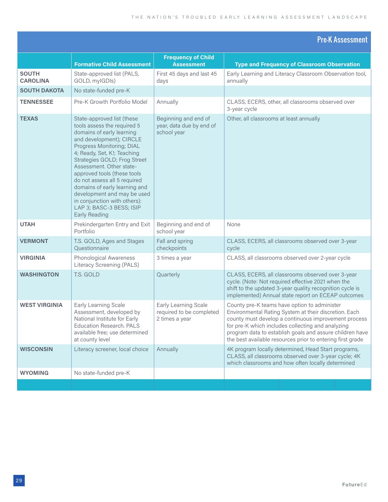#### Pre-K Assessment

| <b>Frequency of Child</b><br><b>Formative Child Assessment</b><br><b>Type and Frequency of Classroom Observation</b><br><b>Assessment</b><br><b>SOUTH</b><br>State-approved list (PALS,<br>First 45 days and last 45<br>Early Learning and Literacy Classroom Observation tool,<br><b>CAROLINA</b><br>GOLD, myIGDIs)<br>annually<br>days<br><b>SOUTH DAKOTA</b><br>No state-funded pre-K<br>Pre-K Growth Portfolio Model<br>Annually<br>CLASS, ECERS, other, all classrooms observed over<br><b>TENNESSEE</b><br>3-year cycle<br><b>TEXAS</b><br>State-approved list (these<br>Beginning and end of<br>Other, all classrooms at least annually<br>year, data due by end of<br>tools assess the required 5<br>domains of early learning<br>school year<br>and development); CIRCLE<br>Progress Monitoring; DIAL<br>4; Ready, Set, K!; Teaching<br>Strategies GOLD; Frog Street<br>Assessment. Other state-<br>approved tools (these tools<br>do not assess all 5 required<br>domains of early learning and<br>development and may be used |
|------------------------------------------------------------------------------------------------------------------------------------------------------------------------------------------------------------------------------------------------------------------------------------------------------------------------------------------------------------------------------------------------------------------------------------------------------------------------------------------------------------------------------------------------------------------------------------------------------------------------------------------------------------------------------------------------------------------------------------------------------------------------------------------------------------------------------------------------------------------------------------------------------------------------------------------------------------------------------------------------------------------------------------------|
|                                                                                                                                                                                                                                                                                                                                                                                                                                                                                                                                                                                                                                                                                                                                                                                                                                                                                                                                                                                                                                          |
|                                                                                                                                                                                                                                                                                                                                                                                                                                                                                                                                                                                                                                                                                                                                                                                                                                                                                                                                                                                                                                          |
|                                                                                                                                                                                                                                                                                                                                                                                                                                                                                                                                                                                                                                                                                                                                                                                                                                                                                                                                                                                                                                          |
|                                                                                                                                                                                                                                                                                                                                                                                                                                                                                                                                                                                                                                                                                                                                                                                                                                                                                                                                                                                                                                          |
| in conjunction with others):<br>LAP 3; BASC-3 BESS; ISIP<br>Early Reading                                                                                                                                                                                                                                                                                                                                                                                                                                                                                                                                                                                                                                                                                                                                                                                                                                                                                                                                                                |
| <b>UTAH</b><br>Beginning and end of<br>Prekindergarten Entry and Exit<br>None<br>Portfolio<br>school year                                                                                                                                                                                                                                                                                                                                                                                                                                                                                                                                                                                                                                                                                                                                                                                                                                                                                                                                |
| <b>VERMONT</b><br>T.S. GOLD, Ages and Stages<br>Fall and spring<br>CLASS, ECERS, all classrooms observed over 3-year<br>Questionnaire<br>checkpoints<br>cycle                                                                                                                                                                                                                                                                                                                                                                                                                                                                                                                                                                                                                                                                                                                                                                                                                                                                            |
| CLASS, all classrooms observed over 2-year cycle<br>Phonological Awareness<br><b>VIRGINIA</b><br>3 times a year<br>Literacy Screening (PALS)                                                                                                                                                                                                                                                                                                                                                                                                                                                                                                                                                                                                                                                                                                                                                                                                                                                                                             |
| CLASS, ECERS, all classrooms observed over 3-year<br><b>WASHINGTON</b><br>T.S. GOLD<br>Quarterly<br>cycle. (Note: Not required effective 2021 when the<br>shift to the updated 3-year quality recognition cycle is<br>implemented) Annual state report on ECEAP outcomes                                                                                                                                                                                                                                                                                                                                                                                                                                                                                                                                                                                                                                                                                                                                                                 |
| <b>WEST VIRGINIA</b><br>Early Learning Scale<br>Early Learning Scale<br>County pre-K teams have option to administer<br>Assessment, developed by<br>required to be completed<br>Environmental Rating System at their discretion. Each<br>county must develop a continuous improvement process<br>National Institute for Early<br>2 times a year<br><b>Education Research. PALS</b><br>for pre-K which includes collecting and analyzing<br>program data to establish goals and assure children have<br>available free; use determined<br>the best available resources prior to entering first grade<br>at county level                                                                                                                                                                                                                                                                                                                                                                                                                   |
| Annually<br>4K program locally determined, Head Start programs,<br><b>WISCONSIN</b><br>Literacy screener, local choice<br>CLASS, all classrooms observed over 3-year cycle; 4K<br>which classrooms and how often locally determined                                                                                                                                                                                                                                                                                                                                                                                                                                                                                                                                                                                                                                                                                                                                                                                                      |
| <b>WYOMING</b><br>No state-funded pre-K                                                                                                                                                                                                                                                                                                                                                                                                                                                                                                                                                                                                                                                                                                                                                                                                                                                                                                                                                                                                  |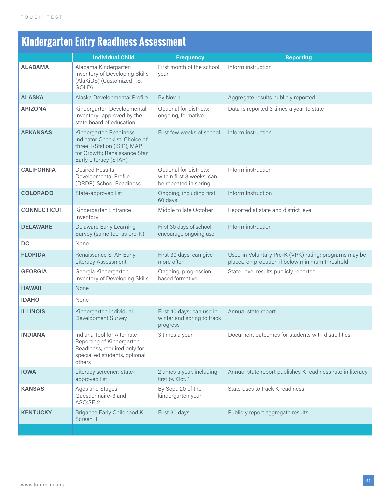## **Kindergarten Entry Readiness Assessment**

| <b>ALABAMA</b>                  |                                                                                                                                                   |                                                                               |                                                                                                         |
|---------------------------------|---------------------------------------------------------------------------------------------------------------------------------------------------|-------------------------------------------------------------------------------|---------------------------------------------------------------------------------------------------------|
| GOLD)                           | Alabama Kindergarten<br>Inventory of Developing Skills<br>(AlaKiDS) (Customized T.S.                                                              | First month of the school<br>year                                             | Inform instruction                                                                                      |
| <b>ALASKA</b>                   | Alaska Developmental Profile                                                                                                                      | By Nov. 1                                                                     | Aggregate results publicly reported                                                                     |
| <b>ARIZONA</b>                  | Kindergarten Developmental<br>Inventory- approved by the<br>state board of education                                                              | Optional for districts;<br>ongoing, formative                                 | Data is reported 3 times a year to state                                                                |
| <b>ARKANSAS</b>                 | Kindergarten Readiness<br>Indicator Checklist. Choice of<br>three: I-Station (ISIP), MAP<br>for Growth; Renaissance Star<br>Early Literacy (STAR) | First few weeks of school                                                     | Inform instruction                                                                                      |
| <b>CALIFORNIA</b>               | <b>Desired Results</b><br>Developmental Profile<br>(DRDP)-School Readiness                                                                        | Optional for districts;<br>within first 8 weeks, can<br>be repeated in spring | Inform instruction                                                                                      |
| <b>COLORADO</b>                 | State-approved list                                                                                                                               | Ongoing, including first<br>60 days                                           | Inform Instruction                                                                                      |
| <b>CONNECTICUT</b><br>Inventory | Kindergarten Entrance                                                                                                                             | Middle to late October                                                        | Reported at state and district level                                                                    |
| <b>DELAWARE</b>                 | <b>Delaware Early Learning</b><br>Survey (same tool as pre-K)                                                                                     | First 30 days of school,<br>encourage ongoing use                             | Inform instruction                                                                                      |
| DC<br>None                      |                                                                                                                                                   |                                                                               |                                                                                                         |
| <b>FLORIDA</b>                  | <b>Renaissance STAR Early</b><br><b>Literacy Assessment</b>                                                                                       | First 30 days, can give<br>more often                                         | Used in Voluntary Pre-K (VPK) rating; programs may be<br>placed on probation if below minimum threshold |
| <b>GEORGIA</b>                  | Georgia Kindergarten<br>Inventory of Developing Skills                                                                                            | Ongoing, progression-<br>based formative                                      | State-level results publicly reported                                                                   |
| None<br><b>HAWAII</b>           |                                                                                                                                                   |                                                                               |                                                                                                         |
| <b>IDAHO</b><br>None            |                                                                                                                                                   |                                                                               |                                                                                                         |
| <b>ILLINOIS</b>                 | Kindergarten Individual<br>Development Survey                                                                                                     | First 40 days; can use in<br>winter and spring to track<br>progress           | Annual state report                                                                                     |
| <b>INDIANA</b><br>others        | Indiana Tool for Alternate<br>Reporting of Kindergarten<br>Readiness, required only for<br>special ed students, optional                          | 3 times a year                                                                | Document outcomes for students with disabilities                                                        |
| <b>IOWA</b>                     | Literacy screener; state-<br>approved list                                                                                                        | 2 times a year, including<br>first by Oct. 1                                  | Annual state report publishes K readiness rate in literacy                                              |
| <b>KANSAS</b><br>ASQ:SE-2       | Ages and Stages<br>Questionnaire-3 and                                                                                                            | By Sept. 20 of the<br>kindergarten year                                       | State uses to track K readiness                                                                         |
| <b>KENTUCKY</b><br>Screen III   | Brigance Early Childhood K                                                                                                                        | First 30 days                                                                 | Publicly report aggregate results                                                                       |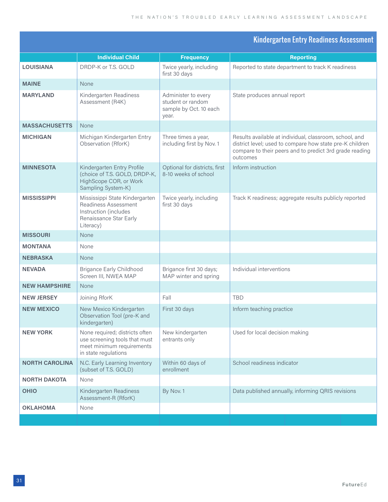#### Kindergarten Entry Readiness Assessment

|                       | <b>Individual Child</b>                                                                                                | <b>Frequency</b>                                                            | <b>Reporting</b>                                                                                                                                                                           |
|-----------------------|------------------------------------------------------------------------------------------------------------------------|-----------------------------------------------------------------------------|--------------------------------------------------------------------------------------------------------------------------------------------------------------------------------------------|
| LOUISIANA             | DRDP-K or T.S. GOLD                                                                                                    | Twice yearly, including                                                     | Reported to state department to track K readiness                                                                                                                                          |
|                       |                                                                                                                        | first 30 days                                                               |                                                                                                                                                                                            |
| <b>MAINE</b>          | None                                                                                                                   |                                                                             |                                                                                                                                                                                            |
| <b>MARYLAND</b>       | Kindergarten Readiness<br>Assessment (R4K)                                                                             | Administer to every<br>student or random<br>sample by Oct. 10 each<br>year. | State produces annual report                                                                                                                                                               |
| <b>MASSACHUSETTS</b>  | <b>None</b>                                                                                                            |                                                                             |                                                                                                                                                                                            |
| <b>MICHIGAN</b>       | Michigan Kindergarten Entry<br>Observation (RforK)                                                                     | Three times a year,<br>including first by Nov. 1                            | Results available at individual, classroom, school, and<br>district level; used to compare how state pre-K children<br>compare to their peers and to predict 3rd grade reading<br>outcomes |
| <b>MINNESOTA</b>      | Kindergarten Entry Profile<br>(choice of T.S. GOLD, DRDP-K,<br>HighScope COR, or Work<br>Sampling System-K)            | Optional for districts, first<br>8-10 weeks of school                       | Inform instruction                                                                                                                                                                         |
| <b>MISSISSIPPI</b>    | Mississippi State Kindergarten<br>Readiness Assessment<br>Instruction (includes<br>Renaissance Star Early<br>Literacy) | Twice yearly, including<br>first 30 days                                    | Track K readiness; aggregate results publicly reported                                                                                                                                     |
| <b>MISSOURI</b>       | None                                                                                                                   |                                                                             |                                                                                                                                                                                            |
| <b>MONTANA</b>        | None                                                                                                                   |                                                                             |                                                                                                                                                                                            |
| <b>NEBRASKA</b>       | None                                                                                                                   |                                                                             |                                                                                                                                                                                            |
| <b>NEVADA</b>         | <b>Brigance Early Childhood</b><br>Screen III, NWEA MAP                                                                | Brigance first 30 days;<br>MAP winter and spring                            | Individual interventions                                                                                                                                                                   |
| <b>NEW HAMPSHIRE</b>  | <b>None</b>                                                                                                            |                                                                             |                                                                                                                                                                                            |
| <b>NEW JERSEY</b>     | Joining RforK                                                                                                          | Fall                                                                        | <b>TBD</b>                                                                                                                                                                                 |
| <b>NEW MEXICO</b>     | New Mexico Kindergarten<br>Observation Tool (pre-K and<br>kindergarten)                                                | First 30 days                                                               | Inform teaching practice                                                                                                                                                                   |
| <b>NEW YORK</b>       | None required; districts often<br>use screening tools that must<br>meet minimum requirements<br>in state regulations   | New kindergarten<br>entrants only                                           | Used for local decision making                                                                                                                                                             |
| <b>NORTH CAROLINA</b> | N.C. Early Learning Inventory<br>(subset of T.S. GOLD)                                                                 | Within 60 days of<br>enrollment                                             | School readiness indicator                                                                                                                                                                 |
| <b>NORTH DAKOTA</b>   | None                                                                                                                   |                                                                             |                                                                                                                                                                                            |
| <b>OHIO</b>           | Kindergarten Readiness<br>Assessment-R (RforK)                                                                         | By Nov. 1                                                                   | Data published annually, informing QRIS revisions                                                                                                                                          |
| <b>OKLAHOMA</b>       | None                                                                                                                   |                                                                             |                                                                                                                                                                                            |
|                       |                                                                                                                        |                                                                             |                                                                                                                                                                                            |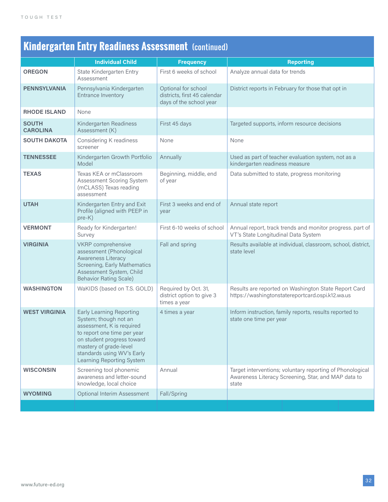## **Kindergarten Entry Readiness Assessment** (continued)

|                                 | <b>Individual Child</b>                                                                                                                                                                                                                 | <b>Frequency</b>                                                               | <b>Reporting</b>                                                                                                          |
|---------------------------------|-----------------------------------------------------------------------------------------------------------------------------------------------------------------------------------------------------------------------------------------|--------------------------------------------------------------------------------|---------------------------------------------------------------------------------------------------------------------------|
| <b>OREGON</b>                   | State Kindergarten Entry<br>Assessment                                                                                                                                                                                                  | First 6 weeks of school                                                        | Analyze annual data for trends                                                                                            |
| <b>PENNSYLVANIA</b>             | Pennsylvania Kindergarten<br>Entrance Inventory                                                                                                                                                                                         | Optional for school<br>districts, first 45 calendar<br>days of the school year | District reports in February for those that opt in                                                                        |
| <b>RHODE ISLAND</b>             | None                                                                                                                                                                                                                                    |                                                                                |                                                                                                                           |
| <b>SOUTH</b><br><b>CAROLINA</b> | Kindergarten Readiness<br>Assessment (K)                                                                                                                                                                                                | First 45 days                                                                  | Targeted supports, inform resource decisions                                                                              |
| <b>SOUTH DAKOTA</b>             | Considering K readiness<br>screener                                                                                                                                                                                                     | None                                                                           | None                                                                                                                      |
| <b>TENNESSEE</b>                | Kindergarten Growth Portfolio<br>Model                                                                                                                                                                                                  | Annually                                                                       | Used as part of teacher evaluation system, not as a<br>kindergarten readiness measure                                     |
| <b>TEXAS</b>                    | Texas KEA or mClassroom<br>Assessment Scoring System<br>(mCLASS) Texas reading<br>assessment                                                                                                                                            | Beginning, middle, end<br>of year                                              | Data submitted to state, progress monitoring                                                                              |
| <b>UTAH</b>                     | Kindergarten Entry and Exit<br>Profile (aligned with PEEP in<br>$pre-K)$                                                                                                                                                                | First 3 weeks and end of<br>year                                               | Annual state report                                                                                                       |
| <b>VERMONT</b>                  | Ready for Kindergarten!<br>Survey                                                                                                                                                                                                       | First 6-10 weeks of school                                                     | Annual report, track trends and monitor progress. part of<br>VT's State Longitudinal Data System                          |
| <b>VIRGINIA</b>                 | VKRP comprehensive<br>assessment (Phonological<br><b>Awareness Literacy</b><br>Screening, Early Mathematics<br>Assessment System, Child<br><b>Behavior Rating Scale)</b>                                                                | Fall and spring                                                                | Results available at individual, classroom, school, district,<br>state level                                              |
| <b>WASHINGTON</b>               | WaKIDS (based on T.S. GOLD)                                                                                                                                                                                                             | Required by Oct. 31,<br>district option to give 3<br>times a year              | Results are reported on Washington State Report Card<br>https://washingtonstatereportcard.ospi.k12.wa.us                  |
| <b>WEST VIRGINIA</b>            | <b>Early Learning Reporting</b><br>System; though not an<br>assessment, K is required<br>to report one time per year<br>on student progress toward<br>mastery of grade-level<br>standards using WV's Early<br>Learning Reporting System | 4 times a year                                                                 | Inform instruction, family reports, results reported to<br>state one time per year                                        |
| <b>WISCONSIN</b>                | Screening tool phonemic<br>awareness and letter-sound<br>knowledge, local choice                                                                                                                                                        | Annual                                                                         | Target interventions; voluntary reporting of Phonological<br>Awareness Literacy Screening, Star, and MAP data to<br>state |
| <b>WYOMING</b>                  | Optional Interim Assessment                                                                                                                                                                                                             | Fall/Spring                                                                    |                                                                                                                           |
|                                 |                                                                                                                                                                                                                                         |                                                                                |                                                                                                                           |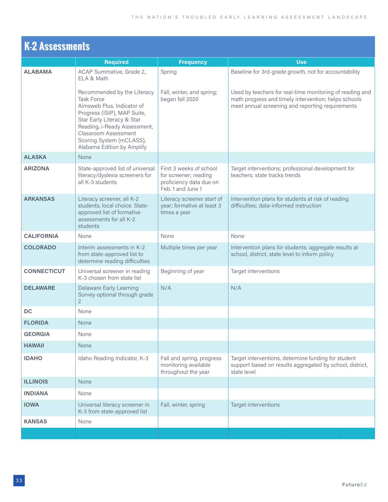| <b>K-2 Assessments</b> |                                                                                                                                                                                                                                                               |                                                                                                  |                                                                                                                                                                      |  |  |  |
|------------------------|---------------------------------------------------------------------------------------------------------------------------------------------------------------------------------------------------------------------------------------------------------------|--------------------------------------------------------------------------------------------------|----------------------------------------------------------------------------------------------------------------------------------------------------------------------|--|--|--|
|                        | <b>Required</b>                                                                                                                                                                                                                                               | <b>Frequency</b>                                                                                 | <b>Use</b>                                                                                                                                                           |  |  |  |
| <b>ALABAMA</b>         | ACAP Summative, Grade 2,<br>ELA & Math                                                                                                                                                                                                                        | Spring                                                                                           | Baseline for 3rd-grade growth, not for accountability                                                                                                                |  |  |  |
|                        | Recommended by the Literacy<br><b>Task Force</b><br>Aimsweb Plus, Indicator of<br>Progress (ISIP), MAP Suite,<br>Star Early Literacy & Star<br>Reading, i-Ready Assessment,<br>Classroom Assessment<br>Scoring System (mCLASS),<br>Alabama Edition by Amplify | Fall, winter, and spring;<br>began fall 2020                                                     | Used by teachers for real-time monitoring of reading and<br>math progress and timely intervention; helps schools<br>meet annual screening and reporting requirements |  |  |  |
| <b>ALASKA</b>          | None                                                                                                                                                                                                                                                          |                                                                                                  |                                                                                                                                                                      |  |  |  |
| <b>ARIZONA</b>         | State-approved list of universal<br>literacy/dyslexia screeners for<br>all K-3 students                                                                                                                                                                       | First 3 weeks of school<br>for screener; reading<br>proficiency data due on<br>Feb. 1 and June 1 | Target interventions; professional development for<br>teachers; state tracks trends                                                                                  |  |  |  |
| <b>ARKANSAS</b>        | Literacy screener, all K-2<br>students, local choice. State-<br>approved list of formative<br>assessments for all K-2<br>students                                                                                                                             | Literacy screener start of<br>year; formative at least 3<br>times a year                         | Intervention plans for students at risk of reading<br>difficulties; data-informed instruction                                                                        |  |  |  |
| <b>CALIFORNIA</b>      | None                                                                                                                                                                                                                                                          | None                                                                                             | None                                                                                                                                                                 |  |  |  |
| <b>COLORADO</b>        | Interim assessments in K-2<br>from state-approved list to<br>determine reading difficulties                                                                                                                                                                   | Multiple times per year                                                                          | Intervention plans for students; aggregate results at<br>school, district, state level to inform policy                                                              |  |  |  |
| <b>CONNECTICUT</b>     | Universal screener in reading<br>K-3 chosen from state list                                                                                                                                                                                                   | Beginning of year                                                                                | Target interventions                                                                                                                                                 |  |  |  |
| <b>DELAWARE</b>        | <b>Delaware Early Learning</b><br>Survey optional through grade<br>$\mathbf{2}$                                                                                                                                                                               | N/A                                                                                              | N/A                                                                                                                                                                  |  |  |  |
| <b>DC</b>              | None                                                                                                                                                                                                                                                          |                                                                                                  |                                                                                                                                                                      |  |  |  |
| <b>FLORIDA</b>         | None                                                                                                                                                                                                                                                          |                                                                                                  |                                                                                                                                                                      |  |  |  |
| <b>GEORGIA</b>         | None                                                                                                                                                                                                                                                          |                                                                                                  |                                                                                                                                                                      |  |  |  |
| <b>HAWAII</b>          | None                                                                                                                                                                                                                                                          |                                                                                                  |                                                                                                                                                                      |  |  |  |
| <b>IDAHO</b>           | Idaho Reading Indicator, K-3                                                                                                                                                                                                                                  | Fall and spring, progress<br>monitoring available<br>throughout the year                         | Target interventions, determine funding for student<br>support based on results aggregated by school, district,<br>state level                                       |  |  |  |
| <b>ILLINOIS</b>        | None                                                                                                                                                                                                                                                          |                                                                                                  |                                                                                                                                                                      |  |  |  |
| <b>INDIANA</b>         | None                                                                                                                                                                                                                                                          |                                                                                                  |                                                                                                                                                                      |  |  |  |
| <b>IOWA</b>            | Universal literacy screener in<br>K-3 from state-approved list                                                                                                                                                                                                | Fall, winter, spring                                                                             | Target interventions                                                                                                                                                 |  |  |  |
| <b>KANSAS</b>          | None                                                                                                                                                                                                                                                          |                                                                                                  |                                                                                                                                                                      |  |  |  |
|                        |                                                                                                                                                                                                                                                               |                                                                                                  |                                                                                                                                                                      |  |  |  |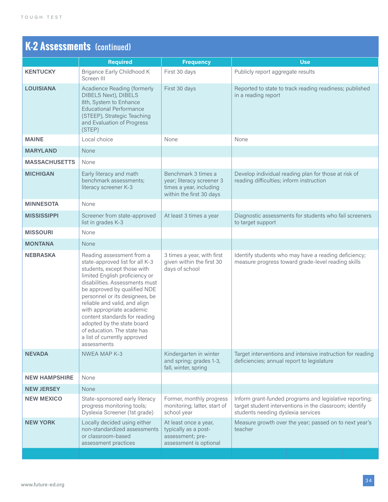## **K-2 Assessments** (continued)

|                      | <b>Required</b>                                                                                                                                                                                                                                                                                                                                                                                                                              | <b>Frequency</b>                                                                                        | <b>Use</b>                                                                                                                                               |
|----------------------|----------------------------------------------------------------------------------------------------------------------------------------------------------------------------------------------------------------------------------------------------------------------------------------------------------------------------------------------------------------------------------------------------------------------------------------------|---------------------------------------------------------------------------------------------------------|----------------------------------------------------------------------------------------------------------------------------------------------------------|
| <b>KENTUCKY</b>      | Brigance Early Childhood K<br>Screen III                                                                                                                                                                                                                                                                                                                                                                                                     | First 30 days                                                                                           | Publicly report aggregate results                                                                                                                        |
| <b>LOUISIANA</b>     | Acadience Reading (formerly<br><b>DIBELS Next), DIBELS</b><br>8th, System to Enhance<br><b>Educational Performance</b><br>(STEEP), Strategic Teaching<br>and Evaluation of Progress<br>(STEP)                                                                                                                                                                                                                                                | First 30 days                                                                                           | Reported to state to track reading readiness; published<br>in a reading report                                                                           |
| <b>MAINE</b>         | Local choice                                                                                                                                                                                                                                                                                                                                                                                                                                 | None                                                                                                    | None                                                                                                                                                     |
| <b>MARYLAND</b>      | None                                                                                                                                                                                                                                                                                                                                                                                                                                         |                                                                                                         |                                                                                                                                                          |
| <b>MASSACHUSETTS</b> | None                                                                                                                                                                                                                                                                                                                                                                                                                                         |                                                                                                         |                                                                                                                                                          |
| <b>MICHIGAN</b>      | Early literacy and math<br>benchmark assessments;<br>literacy screener K-3                                                                                                                                                                                                                                                                                                                                                                   | Benchmark 3 times a<br>year; literacy screener 3<br>times a year, including<br>within the first 30 days | Develop individual reading plan for those at risk of<br>reading difficulties; inform instruction                                                         |
| <b>MINNESOTA</b>     | None                                                                                                                                                                                                                                                                                                                                                                                                                                         |                                                                                                         |                                                                                                                                                          |
| <b>MISSISSIPPI</b>   | Screener from state-approved<br>list in grades K-3                                                                                                                                                                                                                                                                                                                                                                                           | At least 3 times a year                                                                                 | Diagnostic assessments for students who fail screeners<br>to target support                                                                              |
| <b>MISSOURI</b>      | None                                                                                                                                                                                                                                                                                                                                                                                                                                         |                                                                                                         |                                                                                                                                                          |
| <b>MONTANA</b>       | None                                                                                                                                                                                                                                                                                                                                                                                                                                         |                                                                                                         |                                                                                                                                                          |
| <b>NEBRASKA</b>      | Reading assessment from a<br>state-approved list for all K-3<br>students, except those with<br>limited English proficiency or<br>disabilities. Assessments must<br>be approved by qualified NDE<br>personnel or its designees, be<br>reliable and valid, and align<br>with appropriate academic<br>content standards for reading<br>adopted by the state board<br>of education. The state has<br>a list of currently approved<br>assessments | 3 times a year, with first<br>given within the first 30<br>days of school                               | Identify students who may have a reading deficiency;<br>measure progress toward grade-level reading skills                                               |
| <b>NEVADA</b>        | <b>NWEA MAP K-3</b>                                                                                                                                                                                                                                                                                                                                                                                                                          | Kindergarten in winter<br>and spring; grades 1-3,<br>fall, winter, spring                               | Target interventions and intensive instruction for reading<br>deficiencies; annual report to legislature                                                 |
| <b>NEW HAMPSHIRE</b> | None                                                                                                                                                                                                                                                                                                                                                                                                                                         |                                                                                                         |                                                                                                                                                          |
| <b>NEW JERSEY</b>    | None                                                                                                                                                                                                                                                                                                                                                                                                                                         |                                                                                                         |                                                                                                                                                          |
| <b>NEW MEXICO</b>    | State-sponsored early literacy<br>progress monitoring tools;<br>Dyslexia Screener (1st grade)                                                                                                                                                                                                                                                                                                                                                | Former, monthly progress<br>monitoring; latter, start of<br>school year                                 | Inform grant-funded programs and legislative reporting;<br>target student interventions in the classroom; identify<br>students needing dyslexia services |
| <b>NEW YORK</b>      | Locally decided using either<br>non-standardized assessments<br>or classroom-based<br>assessment practices                                                                                                                                                                                                                                                                                                                                   | At least once a year,<br>typically as a post-<br>assessment; pre-<br>assessment is optional             | Measure growth over the year; passed on to next year's<br>teacher                                                                                        |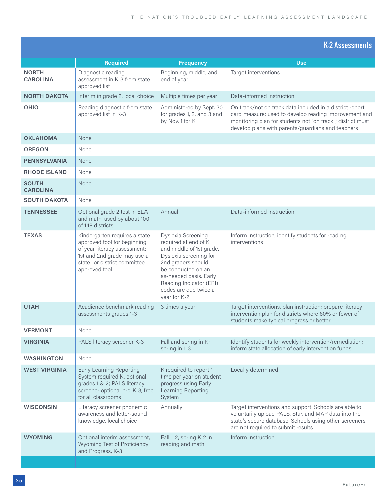|                                 |                                                                                                                                                                                |                                                                                                                                                                                                                                            | <b>K-2 Assessments</b>                                                                                                                                                                                                               |
|---------------------------------|--------------------------------------------------------------------------------------------------------------------------------------------------------------------------------|--------------------------------------------------------------------------------------------------------------------------------------------------------------------------------------------------------------------------------------------|--------------------------------------------------------------------------------------------------------------------------------------------------------------------------------------------------------------------------------------|
|                                 | <b>Required</b>                                                                                                                                                                | <b>Frequency</b>                                                                                                                                                                                                                           | <b>Use</b>                                                                                                                                                                                                                           |
| <b>NORTH</b><br><b>CAROLINA</b> | Diagnostic reading<br>assessment in K-3 from state-<br>approved list                                                                                                           | Beginning, middle, and<br>end of year                                                                                                                                                                                                      | Target interventions                                                                                                                                                                                                                 |
| <b>NORTH DAKOTA</b>             | Interim in grade 2, local choice                                                                                                                                               | Multiple times per year                                                                                                                                                                                                                    | Data-informed instruction                                                                                                                                                                                                            |
| OHIO                            | Reading diagnostic from state-<br>approved list in K-3                                                                                                                         | Administered by Sept. 30<br>for grades 1, 2, and 3 and<br>by Nov. 1 for K                                                                                                                                                                  | On track/not on track data included in a district report<br>card measure; used to develop reading improvement and<br>monitoring plan for students not "on track"; district must<br>develop plans with parents/guardians and teachers |
| <b>OKLAHOMA</b>                 | <b>None</b>                                                                                                                                                                    |                                                                                                                                                                                                                                            |                                                                                                                                                                                                                                      |
| <b>OREGON</b>                   | None                                                                                                                                                                           |                                                                                                                                                                                                                                            |                                                                                                                                                                                                                                      |
| <b>PENNSYLVANIA</b>             | <b>None</b>                                                                                                                                                                    |                                                                                                                                                                                                                                            |                                                                                                                                                                                                                                      |
| <b>RHODE ISLAND</b>             | None                                                                                                                                                                           |                                                                                                                                                                                                                                            |                                                                                                                                                                                                                                      |
| <b>SOUTH</b><br><b>CAROLINA</b> | <b>None</b>                                                                                                                                                                    |                                                                                                                                                                                                                                            |                                                                                                                                                                                                                                      |
| <b>SOUTH DAKOTA</b>             | None                                                                                                                                                                           |                                                                                                                                                                                                                                            |                                                                                                                                                                                                                                      |
| <b>TENNESSEE</b>                | Optional grade 2 test in ELA<br>and math, used by about 100<br>of 148 districts                                                                                                | Annual                                                                                                                                                                                                                                     | Data-informed instruction                                                                                                                                                                                                            |
| <b>TEXAS</b>                    | Kindergarten requires a state-<br>approved tool for beginning<br>of year literacy assessment;<br>1st and 2nd grade may use a<br>state- or district committee-<br>approved tool | Dyslexia Screening<br>required at end of K<br>and middle of 1st grade.<br>Dyslexia screening for<br>2nd graders should<br>be conducted on an<br>as-needed basis. Early<br>Reading Indicator (ERI)<br>codes are due twice a<br>year for K-2 | Inform instruction, identify students for reading<br>interventions                                                                                                                                                                   |
| <b>UTAH</b>                     | Acadience benchmark reading<br>assessments grades 1-3                                                                                                                          | 3 times a year                                                                                                                                                                                                                             | Target interventions, plan instruction; prepare literacy<br>intervention plan for districts where 60% or fewer of<br>students make typical progress or better                                                                        |
| <b>VERMONT</b>                  | None                                                                                                                                                                           |                                                                                                                                                                                                                                            |                                                                                                                                                                                                                                      |
| <b>VIRGINIA</b>                 | PALS literacy screener K-3                                                                                                                                                     | Fall and spring in K;<br>spring in 1-3                                                                                                                                                                                                     | Identify students for weekly intervention/remediation;<br>inform state allocation of early intervention funds                                                                                                                        |
| <b>WASHINGTON</b>               | None                                                                                                                                                                           |                                                                                                                                                                                                                                            |                                                                                                                                                                                                                                      |
| <b>WEST VIRGINIA</b>            | <b>Early Learning Reporting</b><br>System required K, optional<br>grades 1 & 2; PALS literacy<br>screener optional pre-K-3, free<br>for all classrooms                         | K required to report 1<br>time per year on student<br>progress using Early<br>Learning Reporting<br>System                                                                                                                                 | Locally determined                                                                                                                                                                                                                   |
| <b>WISCONSIN</b>                | Literacy screener phonemic<br>awareness and letter-sound<br>knowledge, local choice                                                                                            | Annually                                                                                                                                                                                                                                   | Target interventions and support. Schools are able to<br>voluntarily upload PALS, Star, and MAP data into the<br>state's secure database. Schools using other screeners<br>are not required to submit results                        |
| <b>WYOMING</b>                  | Optional interim assessment,<br>Wyoming Test of Proficiency<br>and Progress, K-3                                                                                               | Fall 1-2, spring K-2 in<br>reading and math                                                                                                                                                                                                | Inform instruction                                                                                                                                                                                                                   |